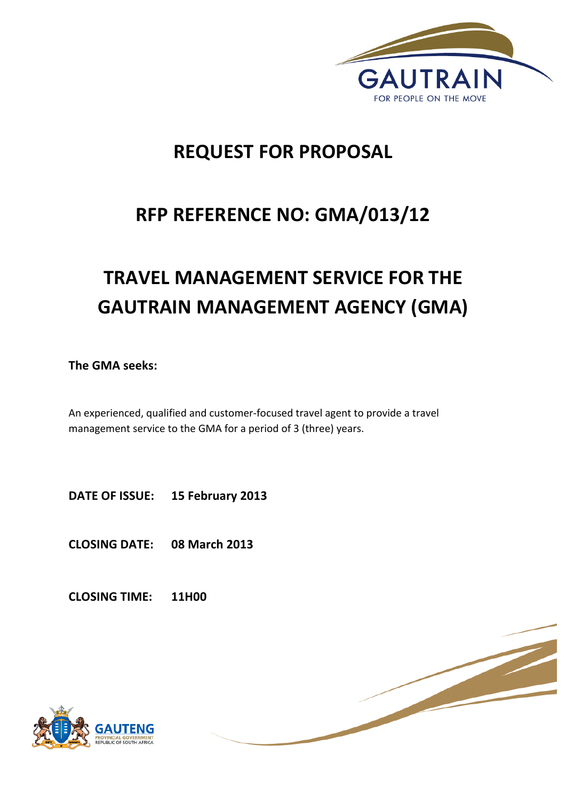

# **REQUEST FOR PROPOSAL**

# **RFP REFERENCE NO: GMA/013/12**

# **TRAVEL MANAGEMENT SERVICE FOR THE GAUTRAIN MANAGEMENT AGENCY (GMA)**

**The GMA seeks:** 

An experienced, qualified and customer-focused travel agent to provide a travel management service to the GMA for a period of 3 (three) years.

**DATE OF ISSUE: 15 February 2013**

**CLOSING DATE: 08 March 2013**

**CLOSING TIME: 11H00** 



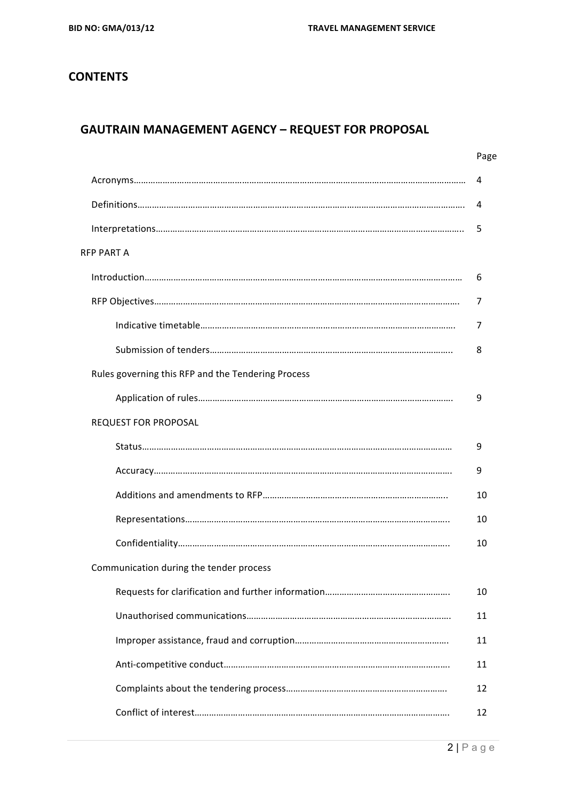## **CONTENTS**

## **GAUTRAIN MANAGEMENT AGENCY - REQUEST FOR PROPOSAL**

|                                                    | Page |
|----------------------------------------------------|------|
|                                                    | 4    |
|                                                    | 4    |
|                                                    | 5    |
| RFP PART A                                         |      |
|                                                    | 6    |
|                                                    | 7    |
|                                                    | 7    |
|                                                    | 8    |
| Rules governing this RFP and the Tendering Process |      |
|                                                    | 9    |
| <b>REQUEST FOR PROPOSAL</b>                        |      |
|                                                    | 9    |
|                                                    | 9    |
|                                                    | 10   |
|                                                    | 10   |
|                                                    | 10   |
| Communication during the tender process            |      |
|                                                    | 10   |
|                                                    | 11   |
|                                                    | 11   |
|                                                    | 11   |
|                                                    | 12   |
|                                                    | 12   |
|                                                    |      |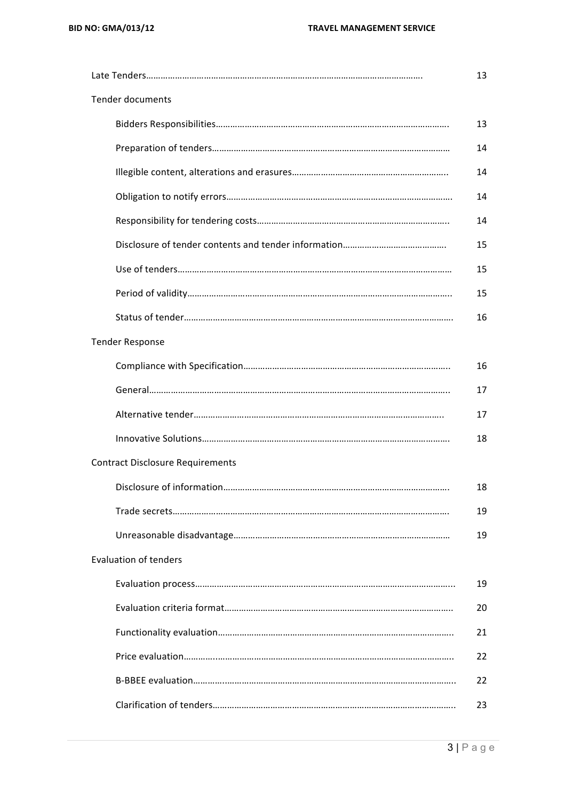|                                         | 13 |
|-----------------------------------------|----|
| <b>Tender documents</b>                 |    |
|                                         | 13 |
|                                         | 14 |
|                                         | 14 |
|                                         | 14 |
|                                         | 14 |
|                                         | 15 |
|                                         | 15 |
|                                         | 15 |
|                                         | 16 |
| <b>Tender Response</b>                  |    |
|                                         | 16 |
|                                         | 17 |
|                                         | 17 |
|                                         | 18 |
| <b>Contract Disclosure Requirements</b> |    |
|                                         | 18 |
|                                         | 19 |
|                                         | 19 |
| <b>Evaluation of tenders</b>            |    |
|                                         | 19 |
|                                         | 20 |
|                                         | 21 |
|                                         | 22 |
|                                         | 22 |
|                                         | 23 |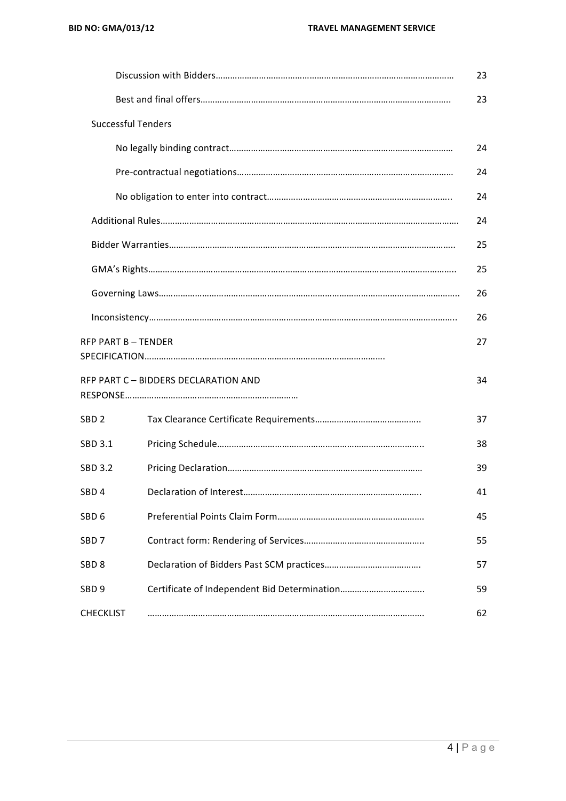|                           |                                      | 23 |
|---------------------------|--------------------------------------|----|
|                           |                                      | 23 |
| <b>Successful Tenders</b> |                                      |    |
|                           |                                      | 24 |
|                           |                                      | 24 |
|                           |                                      | 24 |
|                           |                                      | 24 |
|                           |                                      | 25 |
|                           |                                      | 25 |
|                           |                                      | 26 |
|                           |                                      | 26 |
| <b>RFP PART B-TENDER</b>  |                                      | 27 |
|                           | RFP PART C - BIDDERS DECLARATION AND | 34 |
| SBD <sub>2</sub>          |                                      | 37 |
| SBD 3.1                   |                                      | 38 |
| <b>SBD 3.2</b>            |                                      | 39 |
| SBD <sub>4</sub>          |                                      | 41 |
| SBD <sub>6</sub>          |                                      | 45 |
| SBD <sub>7</sub>          |                                      | 55 |
| SBD <sub>8</sub>          |                                      | 57 |
| SBD <sub>9</sub>          |                                      | 59 |
| <b>CHECKLIST</b>          |                                      | 62 |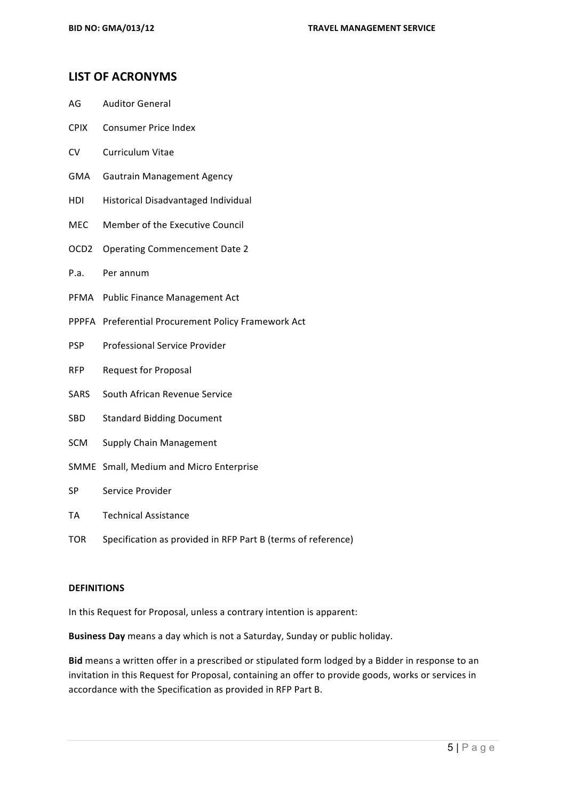#### **LIST OF ACRONYMS**

- AG Auditor General
- CPIX Consumer Price Index
- CV Curriculum Vitae
- GMA Gautrain Management Agency
- HDI Historical Disadvantaged Individual
- MEC Member of the Executive Council
- OCD2 Operating Commencement Date 2
- P.a. Per annum
- PFMA Public Finance Management Act
- PPPFA Preferential Procurement Policy Framework Act
- PSP Professional Service Provider
- RFP Request for Proposal
- SARS South African Revenue Service
- SBD Standard Bidding Document
- SCM Supply Chain Management
- SMME Small, Medium and Micro Enterprise
- SP Service Provider
- TA Technical Assistance
- TOR Specification as provided in RFP Part B (terms of reference)

#### **DEFINITIONS**

In this Request for Proposal, unless a contrary intention is apparent:

**Business Day** means a day which is not a Saturday, Sunday or public holiday.

Bid means a written offer in a prescribed or stipulated form lodged by a Bidder in response to an invitation in this Request for Proposal, containing an offer to provide goods, works or services in accordance with the Specification as provided in RFP Part B.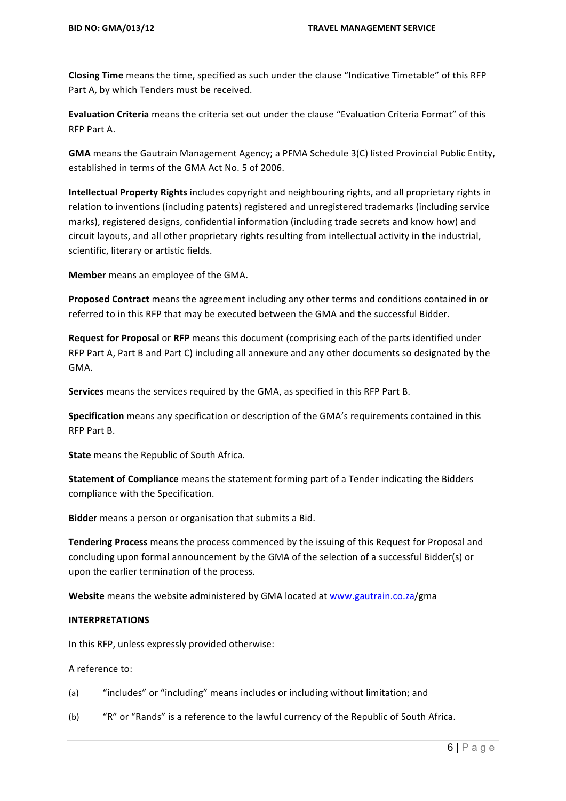**Closing Time** means the time, specified as such under the clause "Indicative Timetable" of this RFP Part A, by which Tenders must be received.

Evaluation Criteria means the criteria set out under the clause "Evaluation Criteria Format" of this RFP Part A.

**GMA** means the Gautrain Management Agency; a PFMA Schedule 3(C) listed Provincial Public Entity, established in terms of the GMA Act No. 5 of 2006.

**Intellectual Property Rights** includes copyright and neighbouring rights, and all proprietary rights in relation to inventions (including patents) registered and unregistered trademarks (including service marks), registered designs, confidential information (including trade secrets and know how) and circuit layouts, and all other proprietary rights resulting from intellectual activity in the industrial, scientific, literary or artistic fields.

**Member** means an employee of the GMA.

**Proposed Contract** means the agreement including any other terms and conditions contained in or referred to in this RFP that may be executed between the GMA and the successful Bidder.

**Request for Proposal** or RFP means this document (comprising each of the parts identified under RFP Part A, Part B and Part C) including all annexure and any other documents so designated by the GMA. 

**Services** means the services required by the GMA, as specified in this RFP Part B.

**Specification** means any specification or description of the GMA's requirements contained in this RFP Part B.

**State** means the Republic of South Africa.

**Statement of Compliance** means the statement forming part of a Tender indicating the Bidders compliance with the Specification.

**Bidder** means a person or organisation that submits a Bid.

**Tendering Process** means the process commenced by the issuing of this Request for Proposal and concluding upon formal announcement by the GMA of the selection of a successful Bidder(s) or upon the earlier termination of the process.

**Website** means the website administered by GMA located at www.gautrain.co.za/gma

#### **INTERPRETATIONS**

In this RFP, unless expressly provided otherwise:

A reference to:

- (a) "includes" or "including" means includes or including without limitation; and
- (b) ""R" or "Rands" is a reference to the lawful currency of the Republic of South Africa.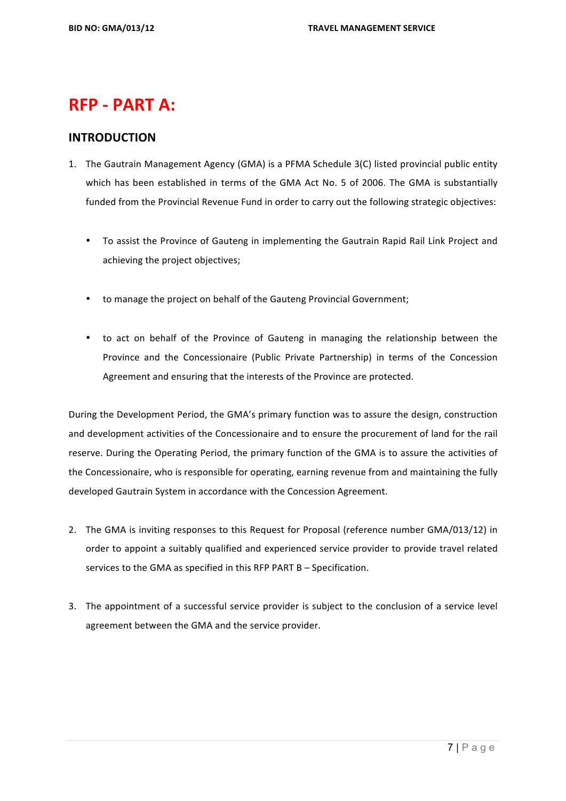## **RFP - PART A:**

### **INTRODUCTION**

- 1. The Gautrain Management Agency (GMA) is a PFMA Schedule 3(C) listed provincial public entity which has been established in terms of the GMA Act No. 5 of 2006. The GMA is substantially funded from the Provincial Revenue Fund in order to carry out the following strategic objectives:
	- To assist the Province of Gauteng in implementing the Gautrain Rapid Rail Link Project and achieving the project objectives;
	- to manage the project on behalf of the Gauteng Provincial Government;
	- to act on behalf of the Province of Gauteng in managing the relationship between the Province and the Concessionaire (Public Private Partnership) in terms of the Concession Agreement and ensuring that the interests of the Province are protected.

During the Development Period, the GMA's primary function was to assure the design, construction and development activities of the Concessionaire and to ensure the procurement of land for the rail reserve. During the Operating Period, the primary function of the GMA is to assure the activities of the Concessionaire, who is responsible for operating, earning revenue from and maintaining the fully developed Gautrain System in accordance with the Concession Agreement.

- 2. The GMA is inviting responses to this Request for Proposal (reference number GMA/013/12) in order to appoint a suitably qualified and experienced service provider to provide travel related services to the GMA as specified in this RFP PART  $B -$  Specification.
- 3. The appointment of a successful service provider is subject to the conclusion of a service level agreement between the GMA and the service provider.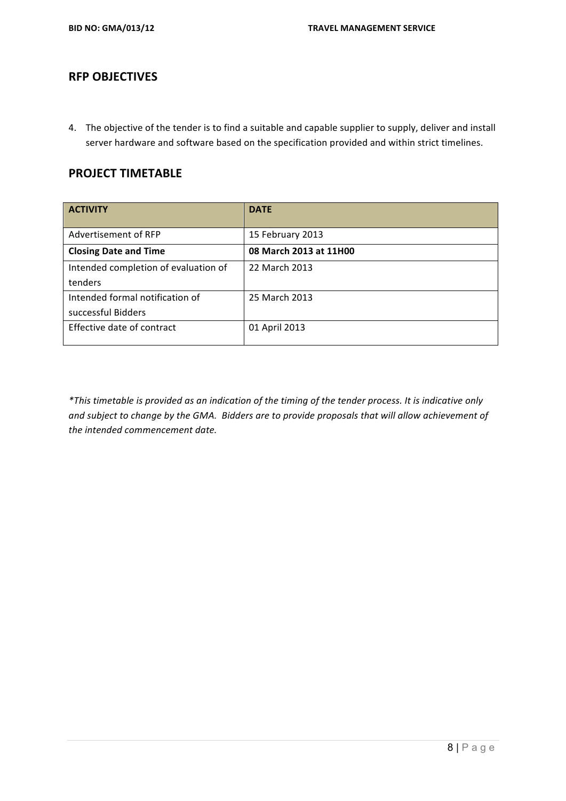#### **RFP OBJECTIVES**

4. The objective of the tender is to find a suitable and capable supplier to supply, deliver and install server hardware and software based on the specification provided and within strict timelines.

## **PROJECT TIMETABLE**

| <b>ACTIVITY</b>                      | <b>DATE</b>            |
|--------------------------------------|------------------------|
| Advertisement of RFP                 | 15 February 2013       |
| <b>Closing Date and Time</b>         | 08 March 2013 at 11H00 |
| Intended completion of evaluation of | 22 March 2013          |
| tenders                              |                        |
| Intended formal notification of      | 25 March 2013          |
| successful Bidders                   |                        |
| Effective date of contract           | 01 April 2013          |

*\*This timetable is provided as an indication of the timing of the tender process. It is indicative only*  and subject to change by the GMA. Bidders are to provide proposals that will allow achievement of the intended commencement date.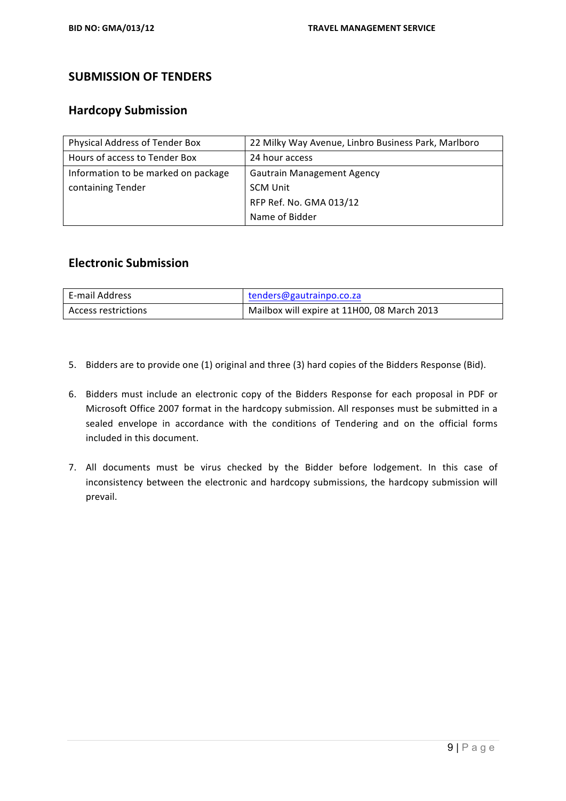## **SUBMISSION OF TENDERS**

### **Hardcopy Submission**

| Physical Address of Tender Box      | 22 Milky Way Avenue, Linbro Business Park, Marlboro |
|-------------------------------------|-----------------------------------------------------|
| Hours of access to Tender Box       | 24 hour access                                      |
| Information to be marked on package | <b>Gautrain Management Agency</b>                   |
| containing Tender                   | <b>SCM Unit</b>                                     |
|                                     | RFP Ref. No. GMA 013/12                             |
|                                     | Name of Bidder                                      |

#### **Electronic Submission**

| E-mail Address      | tenders@gautrainpo.co.za                    |
|---------------------|---------------------------------------------|
| Access restrictions | Mailbox will expire at 11H00, 08 March 2013 |

- 5. Bidders are to provide one (1) original and three (3) hard copies of the Bidders Response (Bid).
- 6. Bidders must include an electronic copy of the Bidders Response for each proposal in PDF or Microsoft Office 2007 format in the hardcopy submission. All responses must be submitted in a sealed envelope in accordance with the conditions of Tendering and on the official forms included in this document.
- 7. All documents must be virus checked by the Bidder before lodgement. In this case of inconsistency between the electronic and hardcopy submissions, the hardcopy submission will prevail.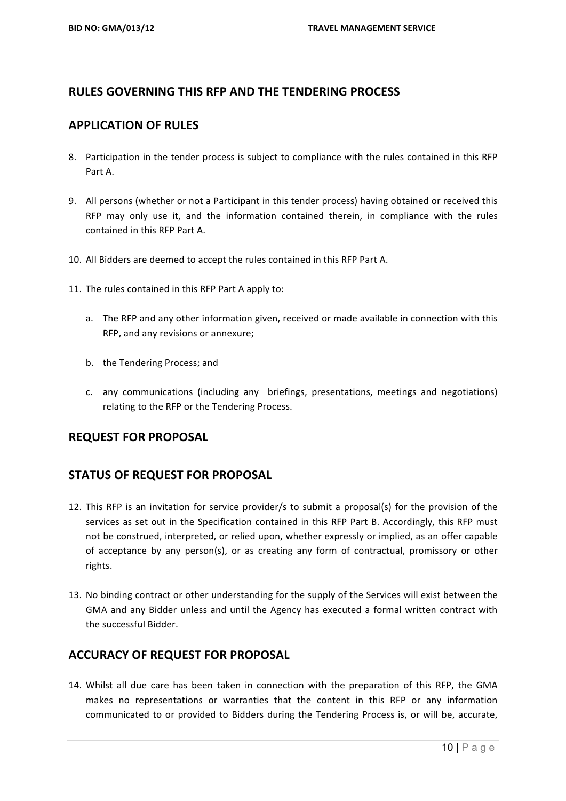## **RULES GOVERNING THIS RFP AND THE TENDERING PROCESS**

#### **APPLICATION OF RULES**

- 8. Participation in the tender process is subject to compliance with the rules contained in this RFP Part A.
- 9. All persons (whether or not a Participant in this tender process) having obtained or received this RFP may only use it, and the information contained therein, in compliance with the rules contained in this RFP Part A.
- 10. All Bidders are deemed to accept the rules contained in this RFP Part A.
- 11. The rules contained in this RFP Part A apply to:
	- a. The RFP and any other information given, received or made available in connection with this RFP, and any revisions or annexure;
	- b. the Tendering Process; and
	- c. any communications (including any briefings, presentations, meetings and negotiations) relating to the RFP or the Tendering Process.

#### **REQUEST FOR PROPOSAL**

#### **STATUS OF REQUEST FOR PROPOSAL**

- 12. This RFP is an invitation for service provider/s to submit a proposal(s) for the provision of the services as set out in the Specification contained in this RFP Part B. Accordingly, this RFP must not be construed, interpreted, or relied upon, whether expressly or implied, as an offer capable of acceptance by any person(s), or as creating any form of contractual, promissory or other rights.
- 13. No binding contract or other understanding for the supply of the Services will exist between the GMA and any Bidder unless and until the Agency has executed a formal written contract with the successful Bidder.

#### **ACCURACY OF REQUEST FOR PROPOSAL**

14. Whilst all due care has been taken in connection with the preparation of this RFP, the GMA makes no representations or warranties that the content in this RFP or any information communicated to or provided to Bidders during the Tendering Process is, or will be, accurate,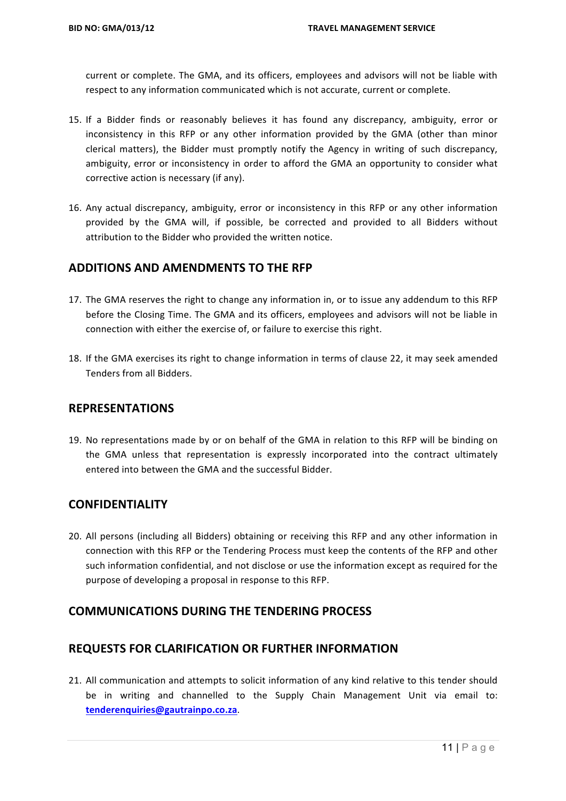current or complete. The GMA, and its officers, employees and advisors will not be liable with respect to any information communicated which is not accurate, current or complete.

- 15. If a Bidder finds or reasonably believes it has found any discrepancy, ambiguity, error or inconsistency in this RFP or any other information provided by the GMA (other than minor clerical matters), the Bidder must promptly notify the Agency in writing of such discrepancy, ambiguity, error or inconsistency in order to afford the GMA an opportunity to consider what corrective action is necessary (if any).
- 16. Any actual discrepancy, ambiguity, error or inconsistency in this RFP or any other information provided by the GMA will, if possible, be corrected and provided to all Bidders without attribution to the Bidder who provided the written notice.

## **ADDITIONS AND AMENDMENTS TO THE RFP**

- 17. The GMA reserves the right to change any information in, or to issue any addendum to this RFP before the Closing Time. The GMA and its officers, employees and advisors will not be liable in connection with either the exercise of, or failure to exercise this right.
- 18. If the GMA exercises its right to change information in terms of clause 22, it may seek amended Tenders from all Bidders.

#### **REPRESENTATIONS**

19. No representations made by or on behalf of the GMA in relation to this RFP will be binding on the GMA unless that representation is expressly incorporated into the contract ultimately entered into between the GMA and the successful Bidder.

#### **CONFIDENTIALITY**

20. All persons (including all Bidders) obtaining or receiving this RFP and any other information in connection with this RFP or the Tendering Process must keep the contents of the RFP and other such information confidential, and not disclose or use the information except as required for the purpose of developing a proposal in response to this RFP.

#### **COMMUNICATIONS DURING THE TENDERING PROCESS**

## **REQUESTS FOR CLARIFICATION OR FURTHER INFORMATION**

21. All communication and attempts to solicit information of any kind relative to this tender should be in writing and channelled to the Supply Chain Management Unit via email to: **tenderenquiries@gautrainpo.co.za**.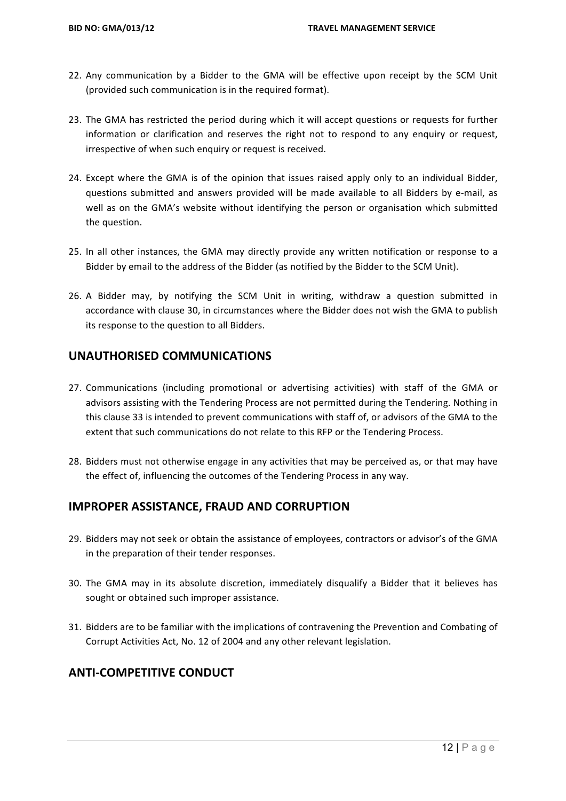- 22. Any communication by a Bidder to the GMA will be effective upon receipt by the SCM Unit (provided such communication is in the required format).
- 23. The GMA has restricted the period during which it will accept questions or requests for further information or clarification and reserves the right not to respond to any enquiry or request, irrespective of when such enquiry or request is received.
- 24. Except where the GMA is of the opinion that issues raised apply only to an individual Bidder, questions submitted and answers provided will be made available to all Bidders by e-mail, as well as on the GMA's website without identifying the person or organisation which submitted the question.
- 25. In all other instances, the GMA may directly provide any written notification or response to a Bidder by email to the address of the Bidder (as notified by the Bidder to the SCM Unit).
- 26. A Bidder may, by notifying the SCM Unit in writing, withdraw a question submitted in accordance with clause 30, in circumstances where the Bidder does not wish the GMA to publish its response to the question to all Bidders.

#### **UNAUTHORISED COMMUNICATIONS**

- 27. Communications (including promotional or advertising activities) with staff of the GMA or advisors assisting with the Tendering Process are not permitted during the Tendering. Nothing in this clause 33 is intended to prevent communications with staff of, or advisors of the GMA to the extent that such communications do not relate to this RFP or the Tendering Process.
- 28. Bidders must not otherwise engage in any activities that may be perceived as, or that may have the effect of, influencing the outcomes of the Tendering Process in any way.

#### **IMPROPER ASSISTANCE, FRAUD AND CORRUPTION**

- 29. Bidders may not seek or obtain the assistance of employees, contractors or advisor's of the GMA in the preparation of their tender responses.
- 30. The GMA may in its absolute discretion, immediately disqualify a Bidder that it believes has sought or obtained such improper assistance.
- 31. Bidders are to be familiar with the implications of contravening the Prevention and Combating of Corrupt Activities Act, No. 12 of 2004 and any other relevant legislation.

### **ANTI-COMPETITIVE CONDUCT**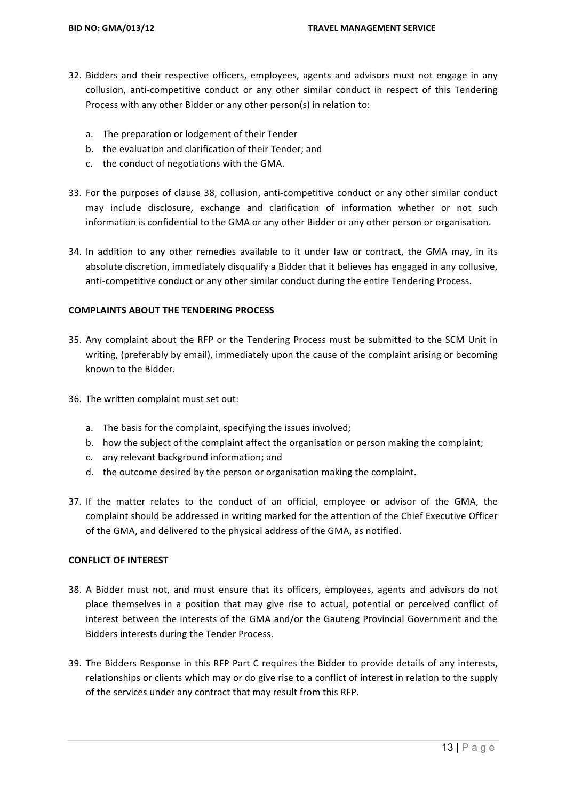- 32. Bidders and their respective officers, employees, agents and advisors must not engage in any collusion, anti-competitive conduct or any other similar conduct in respect of this Tendering Process with any other Bidder or any other person(s) in relation to:
	- a. The preparation or lodgement of their Tender
	- b. the evaluation and clarification of their Tender; and
	- c. the conduct of negotiations with the GMA.
- 33. For the purposes of clause 38, collusion, anti-competitive conduct or any other similar conduct may include disclosure, exchange and clarification of information whether or not such information is confidential to the GMA or any other Bidder or any other person or organisation.
- 34. In addition to any other remedies available to it under law or contract, the GMA may, in its absolute discretion, immediately disqualify a Bidder that it believes has engaged in any collusive, anti-competitive conduct or any other similar conduct during the entire Tendering Process.

#### **COMPLAINTS ABOUT THE TENDERING PROCESS**

- 35. Any complaint about the RFP or the Tendering Process must be submitted to the SCM Unit in writing, (preferably by email), immediately upon the cause of the complaint arising or becoming known to the Bidder.
- 36. The written complaint must set out:
	- a. The basis for the complaint, specifying the issues involved;
	- b. how the subject of the complaint affect the organisation or person making the complaint;
	- c. any relevant background information; and
	- d. the outcome desired by the person or organisation making the complaint.
- 37. If the matter relates to the conduct of an official, employee or advisor of the GMA, the complaint should be addressed in writing marked for the attention of the Chief Executive Officer of the GMA, and delivered to the physical address of the GMA, as notified.

#### **CONFLICT OF INTEREST**

- 38. A Bidder must not, and must ensure that its officers, employees, agents and advisors do not place themselves in a position that may give rise to actual, potential or perceived conflict of interest between the interests of the GMA and/or the Gauteng Provincial Government and the Bidders interests during the Tender Process.
- 39. The Bidders Response in this RFP Part C requires the Bidder to provide details of any interests, relationships or clients which may or do give rise to a conflict of interest in relation to the supply of the services under any contract that may result from this RFP.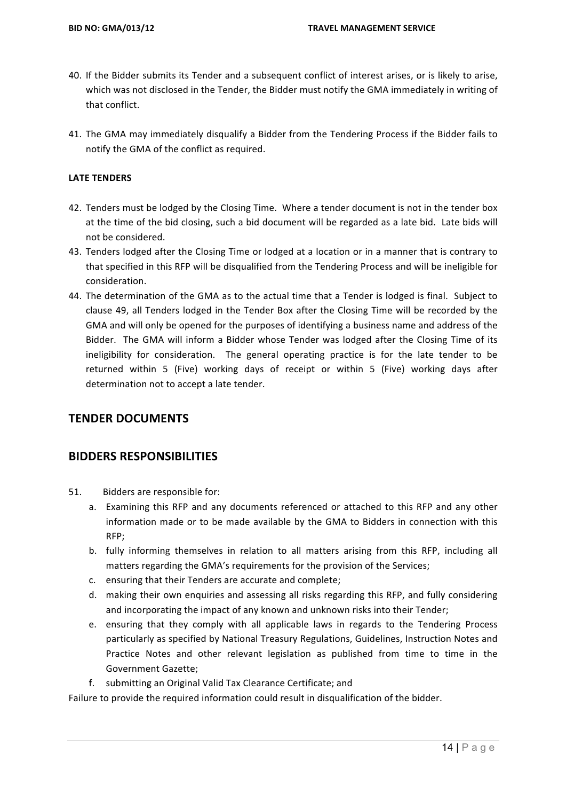- 40. If the Bidder submits its Tender and a subsequent conflict of interest arises, or is likely to arise, which was not disclosed in the Tender, the Bidder must notify the GMA immediately in writing of that conflict.
- 41. The GMA may immediately disqualify a Bidder from the Tendering Process if the Bidder fails to notify the GMA of the conflict as required.

#### **LATE TENDERS**

- 42. Tenders must be lodged by the Closing Time. Where a tender document is not in the tender box at the time of the bid closing, such a bid document will be regarded as a late bid. Late bids will not be considered.
- 43. Tenders lodged after the Closing Time or lodged at a location or in a manner that is contrary to that specified in this RFP will be disqualified from the Tendering Process and will be ineligible for consideration.
- 44. The determination of the GMA as to the actual time that a Tender is lodged is final. Subject to clause 49, all Tenders lodged in the Tender Box after the Closing Time will be recorded by the GMA and will only be opened for the purposes of identifying a business name and address of the Bidder. The GMA will inform a Bidder whose Tender was lodged after the Closing Time of its ineligibility for consideration. The general operating practice is for the late tender to be returned within 5 (Five) working days of receipt or within 5 (Five) working days after determination not to accept a late tender.

#### **TENDER DOCUMENTS**

#### **BIDDERS RESPONSIBILITIES**

- 51. Bidders are responsible for:
	- a. Examining this RFP and any documents referenced or attached to this RFP and any other information made or to be made available by the GMA to Bidders in connection with this RFP;
	- b. fully informing themselves in relation to all matters arising from this RFP, including all matters regarding the GMA's requirements for the provision of the Services;
	- c. ensuring that their Tenders are accurate and complete;
	- d. making their own enquiries and assessing all risks regarding this RFP, and fully considering and incorporating the impact of any known and unknown risks into their Tender;
	- e. ensuring that they comply with all applicable laws in regards to the Tendering Process particularly as specified by National Treasury Regulations, Guidelines, Instruction Notes and Practice Notes and other relevant legislation as published from time to time in the Government Gazette;
	- f. submitting an Original Valid Tax Clearance Certificate: and

Failure to provide the required information could result in disqualification of the bidder.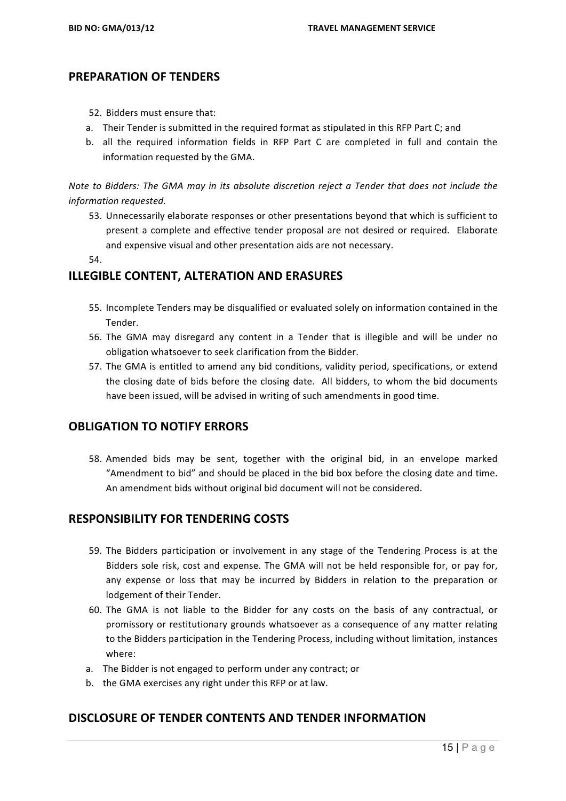#### **PREPARATION OF TENDERS**

- 52. Bidders must ensure that:
- a. Their Tender is submitted in the required format as stipulated in this RFP Part C; and
- b. all the required information fields in RFP Part C are completed in full and contain the information requested by the GMA.

*Note* to Bidders: The GMA may in its absolute discretion reject a Tender that does not include the *information requested.*

53. Unnecessarily elaborate responses or other presentations beyond that which is sufficient to present a complete and effective tender proposal are not desired or required. Elaborate and expensive visual and other presentation aids are not necessary.

54.

#### **ILLEGIBLE CONTENT, ALTERATION AND ERASURES**

- 55. Incomplete Tenders may be disqualified or evaluated solely on information contained in the Tender.
- 56. The GMA may disregard any content in a Tender that is illegible and will be under no obligation whatsoever to seek clarification from the Bidder.
- 57. The GMA is entitled to amend any bid conditions, validity period, specifications, or extend the closing date of bids before the closing date. All bidders, to whom the bid documents have been issued, will be advised in writing of such amendments in good time.

#### **OBLIGATION TO NOTIFY ERRORS**

58. Amended bids may be sent, together with the original bid, in an envelope marked "Amendment to bid" and should be placed in the bid box before the closing date and time. An amendment bids without original bid document will not be considered.

#### **RESPONSIBILITY FOR TENDERING COSTS**

- 59. The Bidders participation or involvement in any stage of the Tendering Process is at the Bidders sole risk, cost and expense. The GMA will not be held responsible for, or pay for, any expense or loss that may be incurred by Bidders in relation to the preparation or lodgement of their Tender.
- 60. The GMA is not liable to the Bidder for any costs on the basis of any contractual, or promissory or restitutionary grounds whatsoever as a consequence of any matter relating to the Bidders participation in the Tendering Process, including without limitation, instances where:
- a. The Bidder is not engaged to perform under any contract; or
- b. the GMA exercises any right under this RFP or at law.

#### **DISCLOSURE OF TENDER CONTENTS AND TENDER INFORMATION**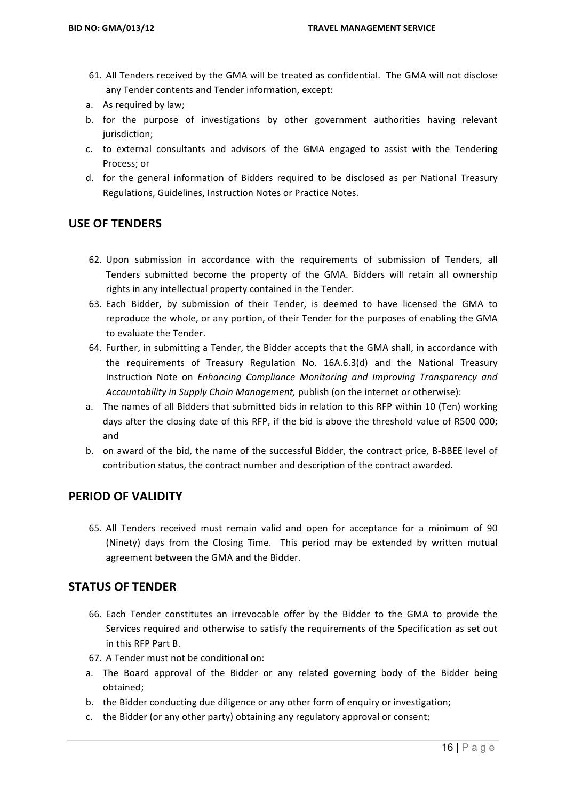- 61. All Tenders received by the GMA will be treated as confidential. The GMA will not disclose any Tender contents and Tender information, except:
- a. As required by law;
- b. for the purpose of investigations by other government authorities having relevant jurisdiction;
- c. to external consultants and advisors of the GMA engaged to assist with the Tendering Process: or
- d. for the general information of Bidders required to be disclosed as per National Treasury Regulations, Guidelines, Instruction Notes or Practice Notes.

#### **USE OF TENDERS**

- 62. Upon submission in accordance with the requirements of submission of Tenders, all Tenders submitted become the property of the GMA. Bidders will retain all ownership rights in any intellectual property contained in the Tender.
- 63. Each Bidder, by submission of their Tender, is deemed to have licensed the GMA to reproduce the whole, or any portion, of their Tender for the purposes of enabling the GMA to evaluate the Tender.
- 64. Further, in submitting a Tender, the Bidder accepts that the GMA shall, in accordance with the requirements of Treasury Regulation No. 16A.6.3(d) and the National Treasury Instruction Note on *Enhancing Compliance Monitoring and Improving Transparency and Accountability in Supply Chain Management, publish (on the internet or otherwise):*
- a. The names of all Bidders that submitted bids in relation to this RFP within 10 (Ten) working days after the closing date of this RFP, if the bid is above the threshold value of R500 000; and
- b. on award of the bid, the name of the successful Bidder, the contract price, B-BBEE level of contribution status, the contract number and description of the contract awarded.

#### **PERIOD OF VALIDITY**

65. All Tenders received must remain valid and open for acceptance for a minimum of 90 (Ninety) days from the Closing Time. This period may be extended by written mutual agreement between the GMA and the Bidder.

#### **STATUS OF TENDER**

- 66. Each Tender constitutes an irrevocable offer by the Bidder to the GMA to provide the Services required and otherwise to satisfy the requirements of the Specification as set out in this RFP Part B.
- 67. A Tender must not be conditional on:
- a. The Board approval of the Bidder or any related governing body of the Bidder being obtained;
- b. the Bidder conducting due diligence or any other form of enquiry or investigation;
- c. the Bidder (or any other party) obtaining any regulatory approval or consent;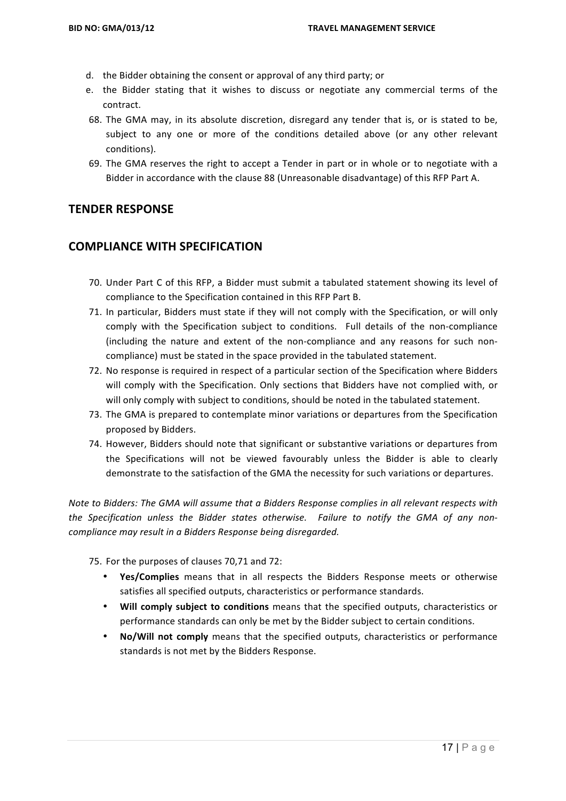- d. the Bidder obtaining the consent or approval of any third party; or
- e. the Bidder stating that it wishes to discuss or negotiate any commercial terms of the contract.
- 68. The GMA may, in its absolute discretion, disregard any tender that is, or is stated to be, subject to any one or more of the conditions detailed above (or any other relevant conditions).
- 69. The GMA reserves the right to accept a Tender in part or in whole or to negotiate with a Bidder in accordance with the clause 88 (Unreasonable disadvantage) of this RFP Part A.

#### **TENDER RESPONSE**

### **COMPLIANCE WITH SPECIFICATION**

- 70. Under Part C of this RFP, a Bidder must submit a tabulated statement showing its level of compliance to the Specification contained in this RFP Part B.
- 71. In particular, Bidders must state if they will not comply with the Specification, or will only comply with the Specification subject to conditions. Full details of the non-compliance (including the nature and extent of the non-compliance and any reasons for such noncompliance) must be stated in the space provided in the tabulated statement.
- 72. No response is required in respect of a particular section of the Specification where Bidders will comply with the Specification. Only sections that Bidders have not complied with, or will only comply with subject to conditions, should be noted in the tabulated statement.
- 73. The GMA is prepared to contemplate minor variations or departures from the Specification proposed by Bidders.
- 74. However, Bidders should note that significant or substantive variations or departures from the Specifications will not be viewed favourably unless the Bidder is able to clearly demonstrate to the satisfaction of the GMA the necessity for such variations or departures.

*Note to Bidders: The GMA will assume that a Bidders Response complies in all relevant respects with* the Specification unless the Bidder states otherwise. Failure to notify the GMA of any non*compliance may result in a Bidders Response being disregarded.* 

75. For the purposes of clauses 70,71 and 72:

- Yes/Complies means that in all respects the Bidders Response meets or otherwise satisfies all specified outputs, characteristics or performance standards.
- **Will comply subject to conditions** means that the specified outputs, characteristics or performance standards can only be met by the Bidder subject to certain conditions.
- **No/Will not comply** means that the specified outputs, characteristics or performance standards is not met by the Bidders Response.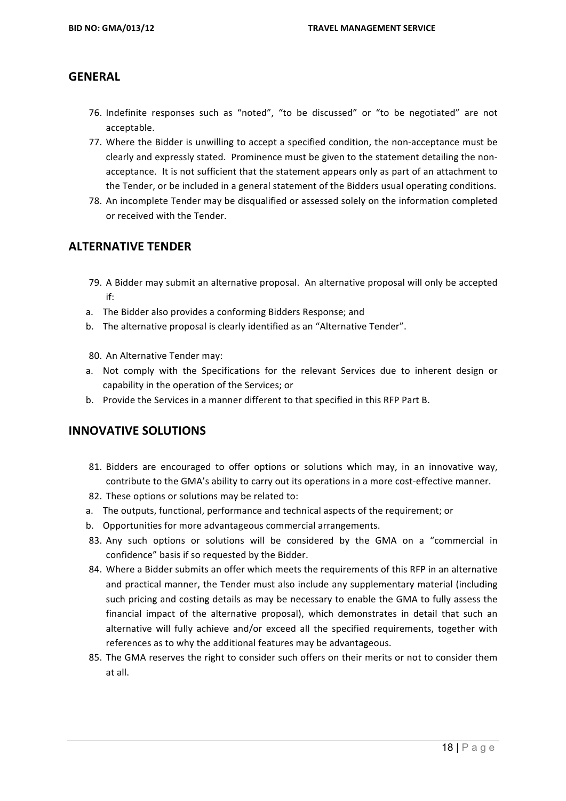#### **GENERAL**

- 76. Indefinite responses such as "noted", "to be discussed" or "to be negotiated" are not acceptable.
- 77. Where the Bidder is unwilling to accept a specified condition, the non-acceptance must be clearly and expressly stated. Prominence must be given to the statement detailing the nonacceptance. It is not sufficient that the statement appears only as part of an attachment to the Tender, or be included in a general statement of the Bidders usual operating conditions.
- 78. An incomplete Tender may be disqualified or assessed solely on the information completed or received with the Tender.

### **ALTERNATIVE TENDER**

- 79. A Bidder may submit an alternative proposal. An alternative proposal will only be accepted if:
- a. The Bidder also provides a conforming Bidders Response; and
- b. The alternative proposal is clearly identified as an "Alternative Tender".
- 80. An Alternative Tender may:
- a. Not comply with the Specifications for the relevant Services due to inherent design or capability in the operation of the Services; or
- b. Provide the Services in a manner different to that specified in this RFP Part B.

#### **INNOVATIVE SOLUTIONS**

- 81. Bidders are encouraged to offer options or solutions which may, in an innovative way, contribute to the GMA's ability to carry out its operations in a more cost-effective manner.
- 82. These options or solutions may be related to:
- a. The outputs, functional, performance and technical aspects of the requirement; or
- b. Opportunities for more advantageous commercial arrangements.
- 83. Any such options or solutions will be considered by the GMA on a "commercial in confidence" basis if so requested by the Bidder.
- 84. Where a Bidder submits an offer which meets the requirements of this RFP in an alternative and practical manner, the Tender must also include any supplementary material (including such pricing and costing details as may be necessary to enable the GMA to fully assess the financial impact of the alternative proposal), which demonstrates in detail that such an alternative will fully achieve and/or exceed all the specified requirements, together with references as to why the additional features may be advantageous.
- 85. The GMA reserves the right to consider such offers on their merits or not to consider them at all.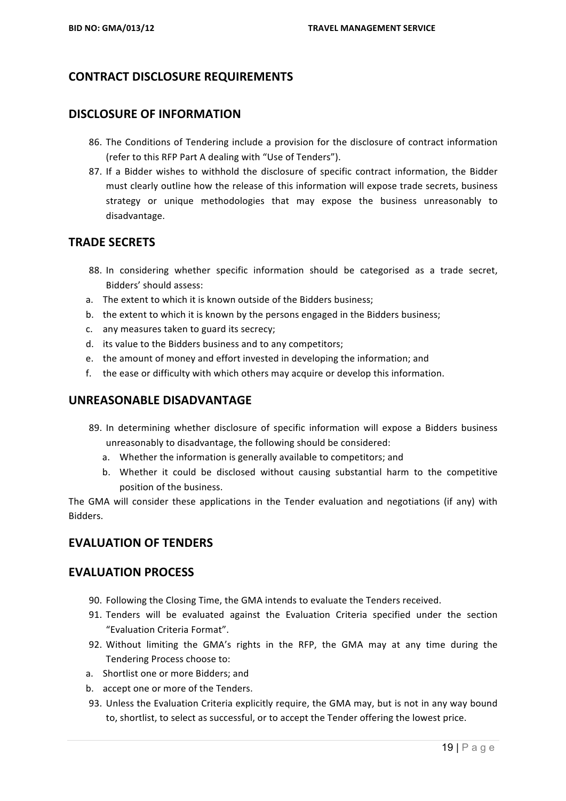## **CONTRACT DISCLOSURE REQUIREMENTS**

#### **DISCLOSURE OF INFORMATION**

- 86. The Conditions of Tendering include a provision for the disclosure of contract information (refer to this RFP Part A dealing with "Use of Tenders").
- 87. If a Bidder wishes to withhold the disclosure of specific contract information, the Bidder must clearly outline how the release of this information will expose trade secrets, business strategy or unique methodologies that may expose the business unreasonably to disadvantage.

#### **TRADE SECRETS**

- 88. In considering whether specific information should be categorised as a trade secret, Bidders' should assess:
- a. The extent to which it is known outside of the Bidders business;
- b. the extent to which it is known by the persons engaged in the Bidders business;
- c. any measures taken to guard its secrecy;
- d. its value to the Bidders business and to any competitors;
- e. the amount of money and effort invested in developing the information; and
- f. the ease or difficulty with which others may acquire or develop this information.

#### **UNREASONABLE DISADVANTAGE**

- 89. In determining whether disclosure of specific information will expose a Bidders business unreasonably to disadvantage, the following should be considered:
	- a. Whether the information is generally available to competitors; and
	- b. Whether it could be disclosed without causing substantial harm to the competitive position of the business.

The GMA will consider these applications in the Tender evaluation and negotiations (if any) with Bidders.

#### **EVALUATION OF TENDERS**

#### **EVALUATION PROCESS**

- 90. Following the Closing Time, the GMA intends to evaluate the Tenders received.
- 91. Tenders will be evaluated against the Evaluation Criteria specified under the section "Evaluation Criteria Format".
- 92. Without limiting the GMA's rights in the RFP, the GMA may at any time during the Tendering Process choose to:
- a. Shortlist one or more Bidders; and
- b. accept one or more of the Tenders.
- 93. Unless the Evaluation Criteria explicitly require, the GMA may, but is not in any way bound to, shortlist, to select as successful, or to accept the Tender offering the lowest price.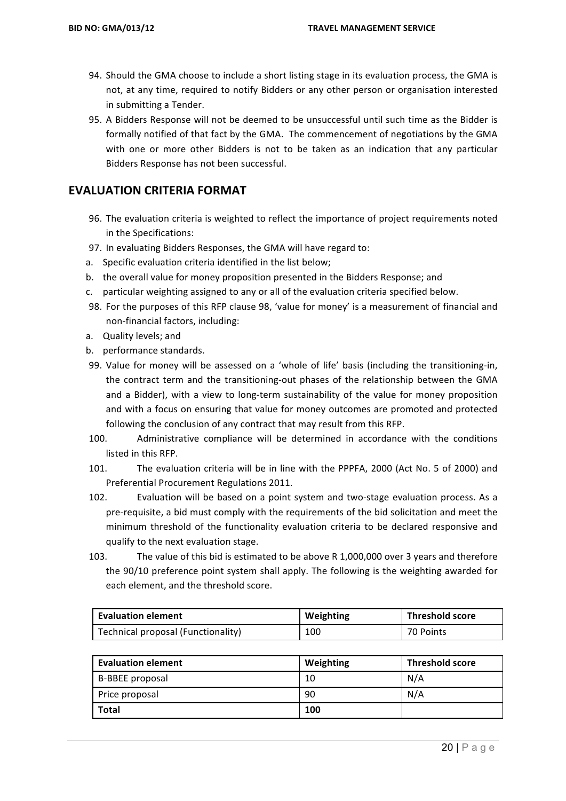- 94. Should the GMA choose to include a short listing stage in its evaluation process, the GMA is not, at any time, required to notify Bidders or any other person or organisation interested in submitting a Tender.
- 95. A Bidders Response will not be deemed to be unsuccessful until such time as the Bidder is formally notified of that fact by the GMA. The commencement of negotiations by the GMA with one or more other Bidders is not to be taken as an indication that any particular Bidders Response has not been successful.

#### **EVALUATION CRITERIA FORMAT**

- 96. The evaluation criteria is weighted to reflect the importance of project requirements noted in the Specifications:
- 97. In evaluating Bidders Responses, the GMA will have regard to:
- a. Specific evaluation criteria identified in the list below;
- b. the overall value for money proposition presented in the Bidders Response; and
- c. particular weighting assigned to any or all of the evaluation criteria specified below.
- 98. For the purposes of this RFP clause 98, 'value for money' is a measurement of financial and non-financial factors, including:
- a. Quality levels; and
- b. performance standards.
- 99. Value for money will be assessed on a 'whole of life' basis (including the transitioning-in, the contract term and the transitioning-out phases of the relationship between the GMA and a Bidder), with a view to long-term sustainability of the value for money proposition and with a focus on ensuring that value for money outcomes are promoted and protected following the conclusion of any contract that may result from this RFP.
- 100. Administrative compliance will be determined in accordance with the conditions listed in this RFP.
- 101. The evaluation criteria will be in line with the PPPFA, 2000 (Act No. 5 of 2000) and Preferential Procurement Regulations 2011.
- 102. Evaluation will be based on a point system and two-stage evaluation process. As a pre-requisite, a bid must comply with the requirements of the bid solicitation and meet the minimum threshold of the functionality evaluation criteria to be declared responsive and qualify to the next evaluation stage.
- 103. The value of this bid is estimated to be above R 1,000,000 over 3 years and therefore the 90/10 preference point system shall apply. The following is the weighting awarded for each element, and the threshold score.

| <b>Evaluation element</b>          | Weighting | Threshold score |
|------------------------------------|-----------|-----------------|
| Technical proposal (Functionality) | 100       | 70 Points       |

| <b>Evaluation element</b> | Weighting | <b>Threshold score</b> |
|---------------------------|-----------|------------------------|
| <b>B-BBEE</b> proposal    | 10        | N/A                    |
| Price proposal            | 90        | N/A                    |
| Total                     | 100       |                        |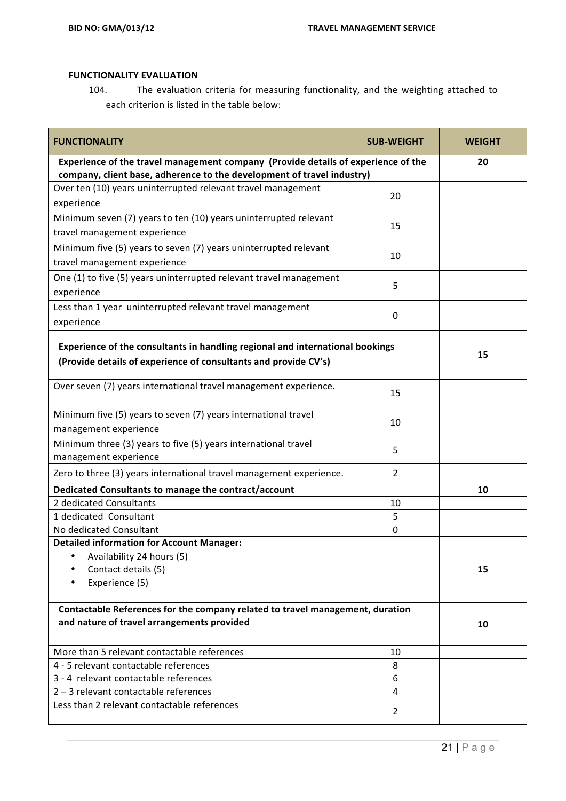#### **FUNCTIONALITY EVALUATION**

104. The evaluation criteria for measuring functionality, and the weighting attached to each criterion is listed in the table below:

| <b>FUNCTIONALITY</b>                                                              | <b>SUB-WEIGHT</b> | <b>WEIGHT</b> |
|-----------------------------------------------------------------------------------|-------------------|---------------|
| Experience of the travel management company (Provide details of experience of the |                   | 20            |
| company, client base, adherence to the development of travel industry)            |                   |               |
| Over ten (10) years uninterrupted relevant travel management                      | 20                |               |
| experience                                                                        |                   |               |
| Minimum seven (7) years to ten (10) years uninterrupted relevant                  | 15                |               |
| travel management experience                                                      |                   |               |
| Minimum five (5) years to seven (7) years uninterrupted relevant                  |                   |               |
| travel management experience                                                      | 10                |               |
| One (1) to five (5) years uninterrupted relevant travel management                |                   |               |
| experience                                                                        | 5                 |               |
| Less than 1 year uninterrupted relevant travel management                         |                   |               |
| experience                                                                        | $\mathbf 0$       |               |
|                                                                                   |                   |               |
| Experience of the consultants in handling regional and international bookings     |                   | 15            |
| (Provide details of experience of consultants and provide CV's)                   |                   |               |
| Over seven (7) years international travel management experience.                  |                   |               |
|                                                                                   | 15                |               |
| Minimum five (5) years to seven (7) years international travel                    |                   |               |
| management experience                                                             | 10                |               |
| Minimum three (3) years to five (5) years international travel                    | 5                 |               |
| management experience                                                             |                   |               |
| Zero to three (3) years international travel management experience.               | $\overline{2}$    |               |
| Dedicated Consultants to manage the contract/account                              |                   | 10            |
| 2 dedicated Consultants                                                           | 10                |               |
| 1 dedicated Consultant                                                            | 5                 |               |
| No dedicated Consultant                                                           | 0                 |               |
| <b>Detailed information for Account Manager:</b>                                  |                   |               |
| Availability 24 hours (5)                                                         |                   |               |
| Contact details (5)                                                               |                   | 15            |
| Experience (5)                                                                    |                   |               |
| Contactable References for the company related to travel management, duration     |                   |               |
| and nature of travel arrangements provided                                        |                   | 10            |
|                                                                                   |                   |               |
| More than 5 relevant contactable references                                       | 10                |               |
| 4 - 5 relevant contactable references                                             | 8                 |               |
| 3 - 4 relevant contactable references                                             | 6                 |               |
| 2-3 relevant contactable references                                               | $\overline{4}$    |               |
| Less than 2 relevant contactable references                                       | $\overline{2}$    |               |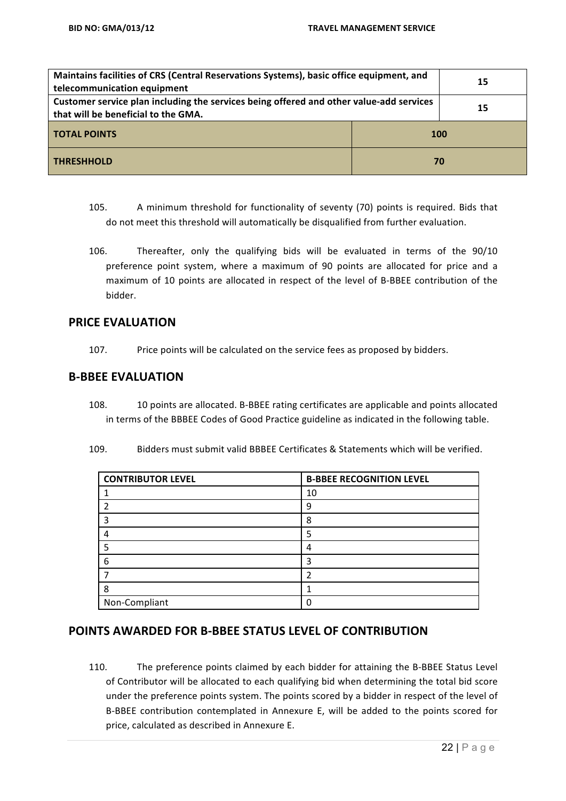| Maintains facilities of CRS (Central Reservations Systems), basic office equipment, and<br>telecommunication equipment         |    | 15 |
|--------------------------------------------------------------------------------------------------------------------------------|----|----|
| Customer service plan including the services being offered and other value-add services<br>that will be beneficial to the GMA. |    | 15 |
| <b>TOTAL POINTS</b><br><b>100</b>                                                                                              |    |    |
| <b>THRESHHOLD</b>                                                                                                              | 70 |    |

- 105. A minimum threshold for functionality of seventy (70) points is required. Bids that do not meet this threshold will automatically be disqualified from further evaluation.
- 106. Thereafter, only the qualifying bids will be evaluated in terms of the 90/10 preference point system, where a maximum of 90 points are allocated for price and a maximum of 10 points are allocated in respect of the level of B-BBEE contribution of the bidder.

#### **PRICE EVALUATION**

107. Price points will be calculated on the service fees as proposed by bidders.

#### **B-BBEE EVALUATION**

108. 10 points are allocated. B-BBEE rating certificates are applicable and points allocated in terms of the BBBEE Codes of Good Practice guideline as indicated in the following table.

| <b>CONTRIBUTOR LEVEL</b> | <b>B-BBEE RECOGNITION LEVEL</b> |
|--------------------------|---------------------------------|
|                          | 10                              |
|                          | 9                               |
|                          | 8                               |
|                          | 5                               |
|                          | 4                               |
| 6                        | ว                               |
|                          | า                               |
| 8                        |                                 |
| Non-Compliant            |                                 |

109. Bidders must submit valid BBBEE Certificates & Statements which will be verified.

#### **POINTS AWARDED FOR B-BBEE STATUS LEVEL OF CONTRIBUTION**

110. The preference points claimed by each bidder for attaining the B-BBEE Status Level of Contributor will be allocated to each qualifying bid when determining the total bid score under the preference points system. The points scored by a bidder in respect of the level of B-BBEE contribution contemplated in Annexure E, will be added to the points scored for price, calculated as described in Annexure E.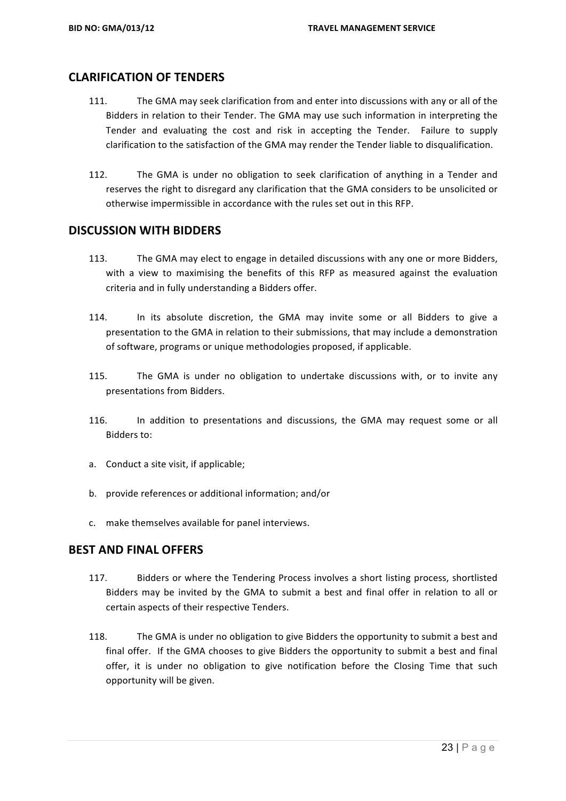#### **CLARIFICATION OF TENDERS**

- 111. The GMA may seek clarification from and enter into discussions with any or all of the Bidders in relation to their Tender. The GMA may use such information in interpreting the Tender and evaluating the cost and risk in accepting the Tender. Failure to supply clarification to the satisfaction of the GMA may render the Tender liable to disqualification.
- 112. The GMA is under no obligation to seek clarification of anything in a Tender and reserves the right to disregard any clarification that the GMA considers to be unsolicited or otherwise impermissible in accordance with the rules set out in this RFP.

#### **DISCUSSION WITH BIDDERS**

- 113. The GMA may elect to engage in detailed discussions with any one or more Bidders, with a view to maximising the benefits of this RFP as measured against the evaluation criteria and in fully understanding a Bidders offer.
- 114. In its absolute discretion, the GMA may invite some or all Bidders to give a presentation to the GMA in relation to their submissions, that may include a demonstration of software, programs or unique methodologies proposed, if applicable.
- 115. The GMA is under no obligation to undertake discussions with, or to invite any presentations from Bidders.
- 116. In addition to presentations and discussions, the GMA may request some or all Bidders to:
- a. Conduct a site visit, if applicable;
- b. provide references or additional information; and/or
- c. make themselves available for panel interviews.

#### **BEST AND FINAL OFFERS**

- 117. Bidders or where the Tendering Process involves a short listing process, shortlisted Bidders may be invited by the GMA to submit a best and final offer in relation to all or certain aspects of their respective Tenders.
- 118. The GMA is under no obligation to give Bidders the opportunity to submit a best and final offer. If the GMA chooses to give Bidders the opportunity to submit a best and final offer, it is under no obligation to give notification before the Closing Time that such opportunity will be given.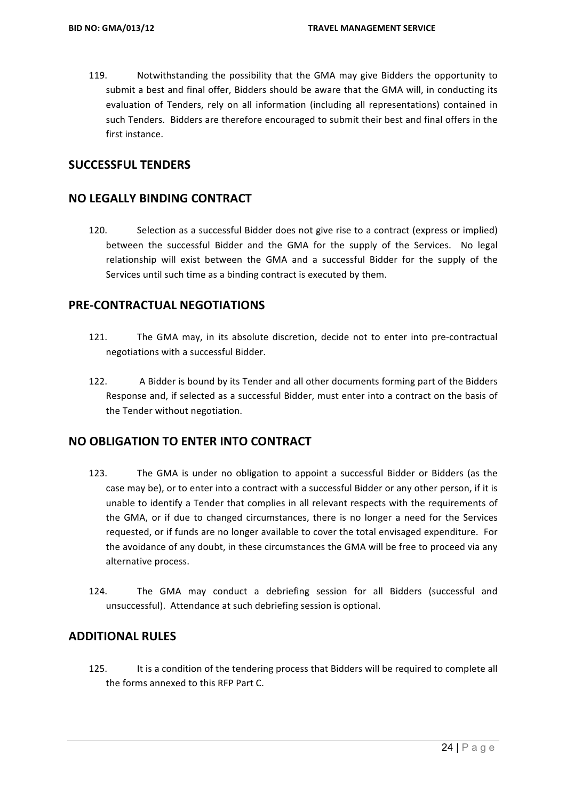119. Notwithstanding the possibility that the GMA may give Bidders the opportunity to submit a best and final offer, Bidders should be aware that the GMA will, in conducting its evaluation of Tenders, rely on all information (including all representations) contained in such Tenders. Bidders are therefore encouraged to submit their best and final offers in the first instance.

#### **SUCCESSFUL TENDERS**

#### **NO LEGALLY BINDING CONTRACT**

120. Selection as a successful Bidder does not give rise to a contract (express or implied) between the successful Bidder and the GMA for the supply of the Services. No legal relationship will exist between the GMA and a successful Bidder for the supply of the Services until such time as a binding contract is executed by them.

#### **PRE-CONTRACTUAL NEGOTIATIONS**

- 121. The GMA may, in its absolute discretion, decide not to enter into pre-contractual negotiations with a successful Bidder.
- 122. A Bidder is bound by its Tender and all other documents forming part of the Bidders Response and, if selected as a successful Bidder, must enter into a contract on the basis of the Tender without negotiation.

#### **NO OBLIGATION TO ENTER INTO CONTRACT**

- 123. The GMA is under no obligation to appoint a successful Bidder or Bidders (as the case may be), or to enter into a contract with a successful Bidder or any other person, if it is unable to identify a Tender that complies in all relevant respects with the requirements of the GMA, or if due to changed circumstances, there is no longer a need for the Services requested, or if funds are no longer available to cover the total envisaged expenditure. For the avoidance of any doubt, in these circumstances the GMA will be free to proceed via any alternative process.
- 124. The GMA may conduct a debriefing session for all Bidders (successful and unsuccessful). Attendance at such debriefing session is optional.

#### **ADDITIONAL RULES**

125. It is a condition of the tendering process that Bidders will be required to complete all the forms annexed to this RFP Part C.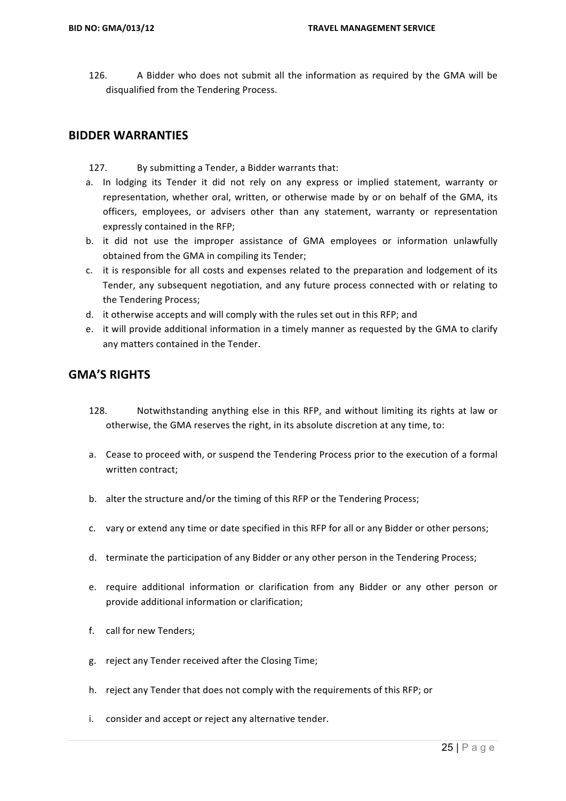126. A Bidder who does not submit all the information as required by the GMA will be disqualified from the Tendering Process.

#### **BIDDER WARRANTIES**

- 127. By submitting a Tender, a Bidder warrants that:
- a. In lodging its Tender it did not rely on any express or implied statement, warranty or representation, whether oral, written, or otherwise made by or on behalf of the GMA, its officers, employees, or advisers other than any statement, warranty or representation expressly contained in the RFP;
- b. it did not use the improper assistance of GMA employees or information unlawfully obtained from the GMA in compiling its Tender:
- c. it is responsible for all costs and expenses related to the preparation and lodgement of its Tender, any subsequent negotiation, and any future process connected with or relating to the Tendering Process;
- d. it otherwise accepts and will comply with the rules set out in this RFP; and
- e. it will provide additional information in a timely manner as requested by the GMA to clarify any matters contained in the Tender.

#### **GMA'S RIGHTS**

- 128. Notwithstanding anything else in this RFP, and without limiting its rights at law or otherwise, the GMA reserves the right, in its absolute discretion at any time, to:
- a. Cease to proceed with, or suspend the Tendering Process prior to the execution of a formal written contract;
- b. alter the structure and/or the timing of this RFP or the Tendering Process;
- c. vary or extend any time or date specified in this RFP for all or any Bidder or other persons;
- d. terminate the participation of any Bidder or any other person in the Tendering Process;
- e. require additional information or clarification from any Bidder or any other person or provide additional information or clarification:
- f. call for new Tenders:
- g. reject any Tender received after the Closing Time;
- h. reject any Tender that does not comply with the requirements of this RFP; or
- i. consider and accept or reject any alternative tender.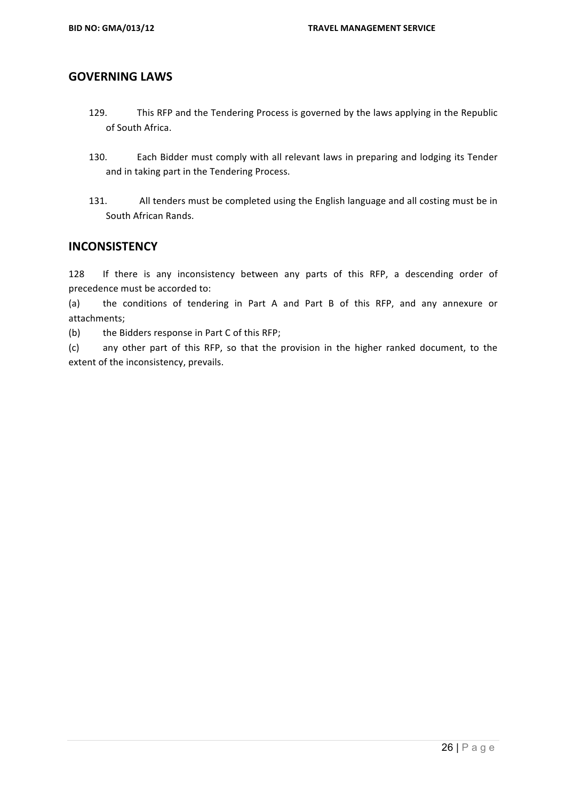#### **GOVERNING LAWS**

- 129. This RFP and the Tendering Process is governed by the laws applying in the Republic of South Africa.
- 130. Each Bidder must comply with all relevant laws in preparing and lodging its Tender and in taking part in the Tendering Process.
- 131. All tenders must be completed using the English language and all costing must be in South African Rands.

#### **INCONSISTENCY**

128 If there is any inconsistency between any parts of this RFP, a descending order of precedence must be accorded to:

(a) the conditions of tendering in Part A and Part B of this RFP, and any annexure or attachments;

(b) the Bidders response in Part C of this RFP;

(c) any other part of this RFP, so that the provision in the higher ranked document, to the extent of the inconsistency, prevails.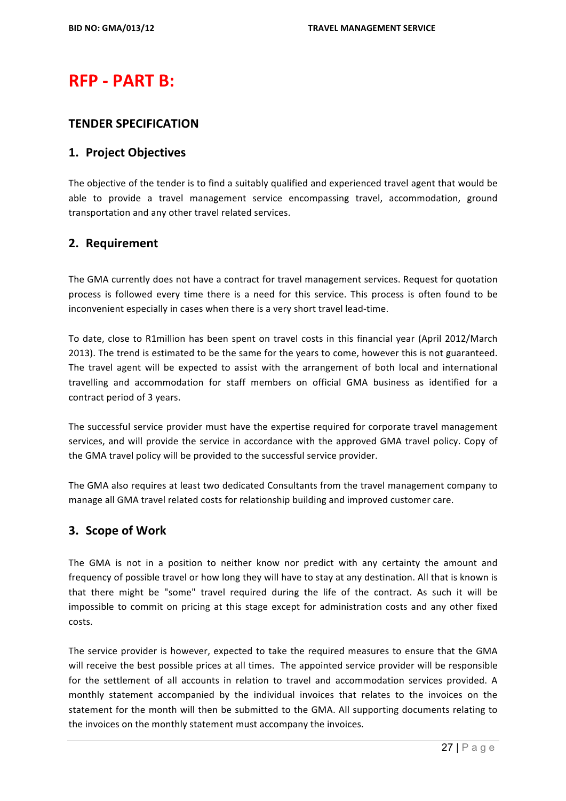## **RFP - PART B:**

#### **TENDER SPECIFICATION**

#### **1. Project Objectives**

The objective of the tender is to find a suitably qualified and experienced travel agent that would be able to provide a travel management service encompassing travel, accommodation, ground transportation and any other travel related services.

#### **2. Requirement**

The GMA currently does not have a contract for travel management services. Request for quotation process is followed every time there is a need for this service. This process is often found to be inconvenient especially in cases when there is a very short travel lead-time.

To date, close to R1million has been spent on travel costs in this financial year (April 2012/March 2013). The trend is estimated to be the same for the years to come, however this is not guaranteed. The travel agent will be expected to assist with the arrangement of both local and international travelling and accommodation for staff members on official GMA business as identified for a contract period of 3 years.

The successful service provider must have the expertise required for corporate travel management services, and will provide the service in accordance with the approved GMA travel policy. Copy of the GMA travel policy will be provided to the successful service provider.

The GMA also requires at least two dedicated Consultants from the travel management company to manage all GMA travel related costs for relationship building and improved customer care.

#### **3. Scope of Work**

The GMA is not in a position to neither know nor predict with any certainty the amount and frequency of possible travel or how long they will have to stay at any destination. All that is known is that there might be "some" travel required during the life of the contract. As such it will be impossible to commit on pricing at this stage except for administration costs and any other fixed costs. 

The service provider is however, expected to take the required measures to ensure that the GMA will receive the best possible prices at all times. The appointed service provider will be responsible for the settlement of all accounts in relation to travel and accommodation services provided. A monthly statement accompanied by the individual invoices that relates to the invoices on the statement for the month will then be submitted to the GMA. All supporting documents relating to the invoices on the monthly statement must accompany the invoices.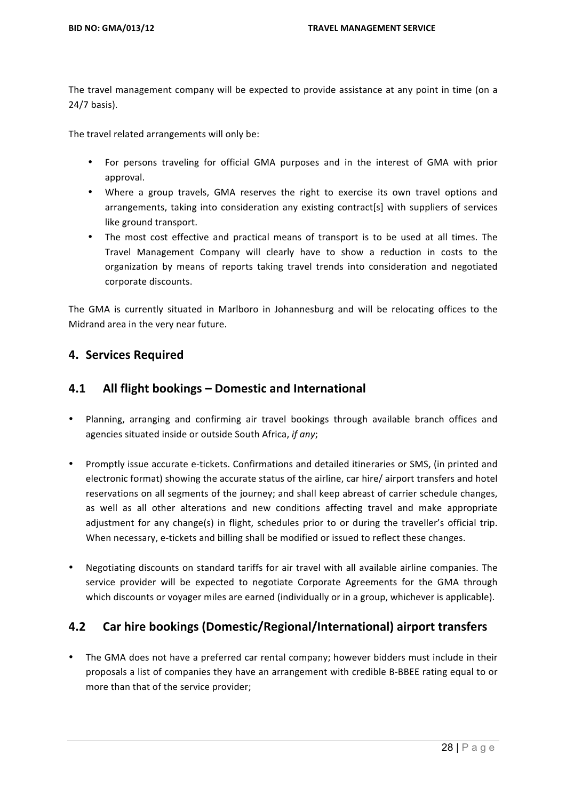The travel management company will be expected to provide assistance at any point in time (on a 24/7 basis).

The travel related arrangements will only be:

- For persons traveling for official GMA purposes and in the interest of GMA with prior approval.
- Where a group travels, GMA reserves the right to exercise its own travel options and arrangements, taking into consideration any existing contract[s] with suppliers of services like ground transport.
- The most cost effective and practical means of transport is to be used at all times. The Travel Management Company will clearly have to show a reduction in costs to the organization by means of reports taking travel trends into consideration and negotiated corporate discounts.

The GMA is currently situated in Marlboro in Johannesburg and will be relocating offices to the Midrand area in the very near future.

#### **4. Services Required**

#### **4.1** All flight bookings – Domestic and International

- Planning, arranging and confirming air travel bookings through available branch offices and agencies situated inside or outside South Africa, *if any*;
- Promptly issue accurate e-tickets. Confirmations and detailed itineraries or SMS, (in printed and electronic format) showing the accurate status of the airline, car hire/ airport transfers and hotel reservations on all segments of the journey; and shall keep abreast of carrier schedule changes, as well as all other alterations and new conditions affecting travel and make appropriate adjustment for any change(s) in flight, schedules prior to or during the traveller's official trip. When necessary, e-tickets and billing shall be modified or issued to reflect these changes.
- Negotiating discounts on standard tariffs for air travel with all available airline companies. The service provider will be expected to negotiate Corporate Agreements for the GMA through which discounts or voyager miles are earned (individually or in a group, whichever is applicable).

#### **4.2** Car hire bookings (Domestic/Regional/International) airport transfers

• The GMA does not have a preferred car rental company; however bidders must include in their proposals a list of companies they have an arrangement with credible B-BBEE rating equal to or more than that of the service provider;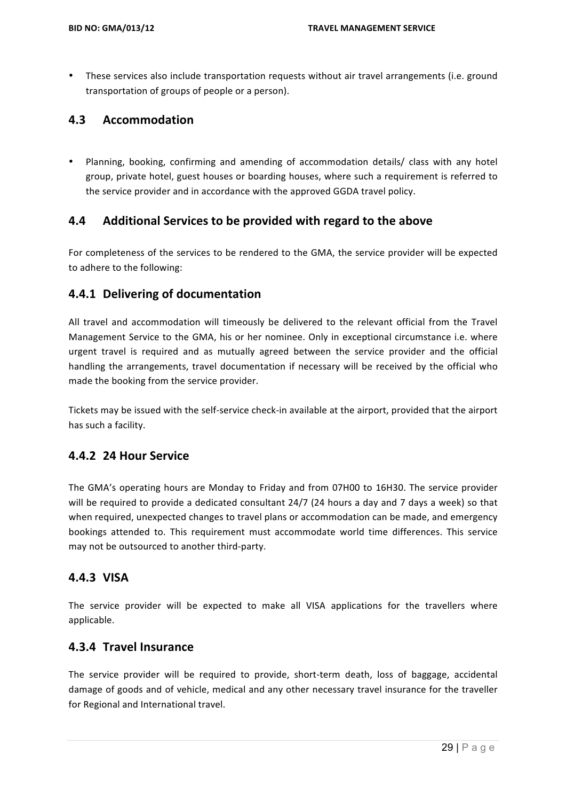• These services also include transportation requests without air travel arrangements (i.e. ground transportation of groups of people or a person).

#### **4.3 Accommodation**

• Planning, booking, confirming and amending of accommodation details/ class with any hotel group, private hotel, guest houses or boarding houses, where such a requirement is referred to the service provider and in accordance with the approved GGDA travel policy.

#### **4.4 Additional Services to be provided with regard to the above**

For completeness of the services to be rendered to the GMA, the service provider will be expected to adhere to the following:

#### **4.4.1 Delivering of documentation**

All travel and accommodation will timeously be delivered to the relevant official from the Travel Management Service to the GMA, his or her nominee. Only in exceptional circumstance i.e. where urgent travel is required and as mutually agreed between the service provider and the official handling the arrangements, travel documentation if necessary will be received by the official who made the booking from the service provider.

Tickets may be issued with the self-service check-in available at the airport, provided that the airport has such a facility.

#### **4.4.2 24 Hour Service**

The GMA's operating hours are Monday to Friday and from 07H00 to 16H30. The service provider will be required to provide a dedicated consultant 24/7 (24 hours a day and 7 days a week) so that when required, unexpected changes to travel plans or accommodation can be made, and emergency bookings attended to. This requirement must accommodate world time differences. This service may not be outsourced to another third-party.

#### **4.4.3 VISA**

The service provider will be expected to make all VISA applications for the travellers where applicable. 

#### **4.3.4 Travel Insurance**

The service provider will be required to provide, short-term death, loss of baggage, accidental damage of goods and of vehicle, medical and any other necessary travel insurance for the traveller for Regional and International travel.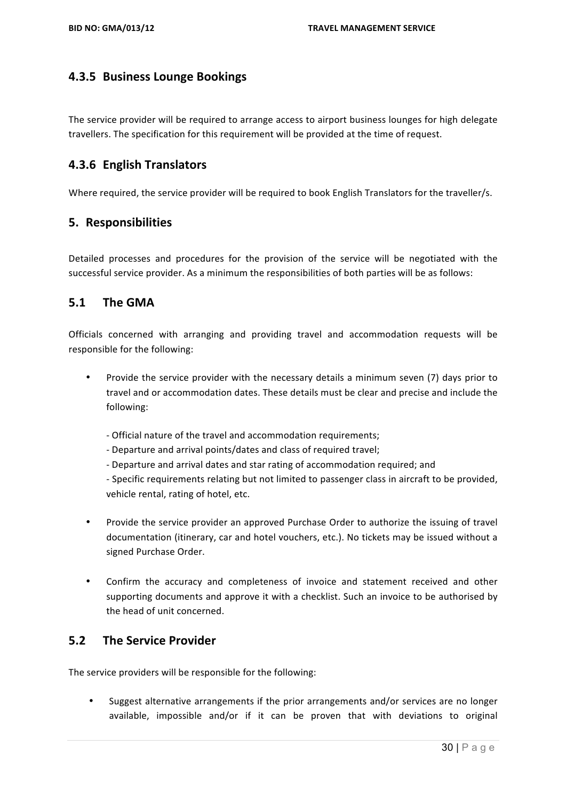### **4.3.5 Business Lounge Bookings**

The service provider will be required to arrange access to airport business lounges for high delegate travellers. The specification for this requirement will be provided at the time of request.

#### **4.3.6 English Translators**

Where required, the service provider will be required to book English Translators for the traveller/s.

#### **5. Responsibilities**

Detailed processes and procedures for the provision of the service will be negotiated with the successful service provider. As a minimum the responsibilities of both parties will be as follows:

#### **5.1 The GMA**

Officials concerned with arranging and providing travel and accommodation requests will be responsible for the following:

- Provide the service provider with the necessary details a minimum seven (7) days prior to travel and or accommodation dates. These details must be clear and precise and include the following:
	- Official nature of the travel and accommodation requirements;
	- Departure and arrival points/dates and class of required travel;
	- Departure and arrival dates and star rating of accommodation required; and

- Specific requirements relating but not limited to passenger class in aircraft to be provided, vehicle rental, rating of hotel, etc.

- Provide the service provider an approved Purchase Order to authorize the issuing of travel documentation (itinerary, car and hotel vouchers, etc.). No tickets may be issued without a signed Purchase Order.
- Confirm the accuracy and completeness of invoice and statement received and other supporting documents and approve it with a checklist. Such an invoice to be authorised by the head of unit concerned.

#### **5.2** The Service Provider

The service providers will be responsible for the following:

Suggest alternative arrangements if the prior arrangements and/or services are no longer available, impossible and/or if it can be proven that with deviations to original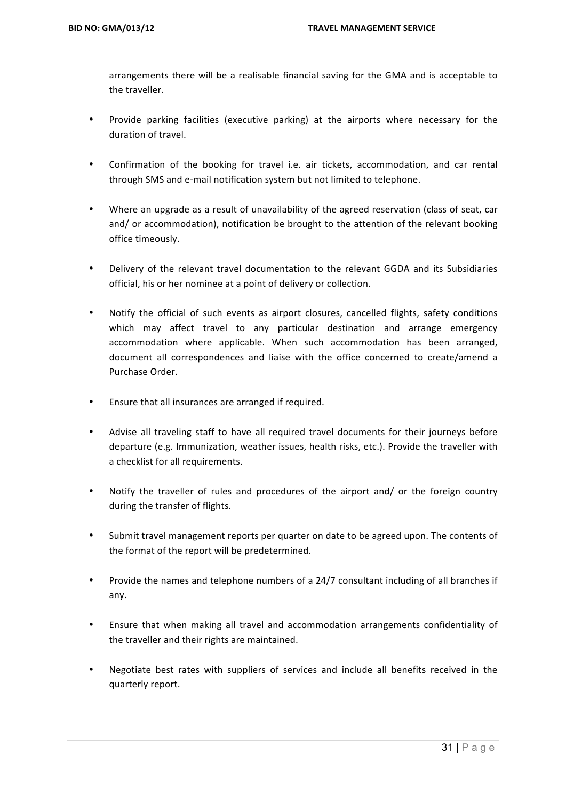arrangements there will be a realisable financial saving for the GMA and is acceptable to the traveller.

- Provide parking facilities (executive parking) at the airports where necessary for the duration of travel.
- Confirmation of the booking for travel i.e. air tickets, accommodation, and car rental through SMS and e-mail notification system but not limited to telephone.
- Where an upgrade as a result of unavailability of the agreed reservation (class of seat, car and/ or accommodation), notification be brought to the attention of the relevant booking office timeously.
- Delivery of the relevant travel documentation to the relevant GGDA and its Subsidiaries official, his or her nominee at a point of delivery or collection.
- Notify the official of such events as airport closures, cancelled flights, safety conditions which may affect travel to any particular destination and arrange emergency accommodation where applicable. When such accommodation has been arranged, document all correspondences and liaise with the office concerned to create/amend a Purchase Order.
- Ensure that all insurances are arranged if required.
- Advise all traveling staff to have all required travel documents for their journeys before departure (e.g. Immunization, weather issues, health risks, etc.). Provide the traveller with a checklist for all requirements.
- Notify the traveller of rules and procedures of the airport and/ or the foreign country during the transfer of flights.
- Submit travel management reports per quarter on date to be agreed upon. The contents of the format of the report will be predetermined.
- Provide the names and telephone numbers of a 24/7 consultant including of all branches if any.
- Ensure that when making all travel and accommodation arrangements confidentiality of the traveller and their rights are maintained.
- Negotiate best rates with suppliers of services and include all benefits received in the quarterly report.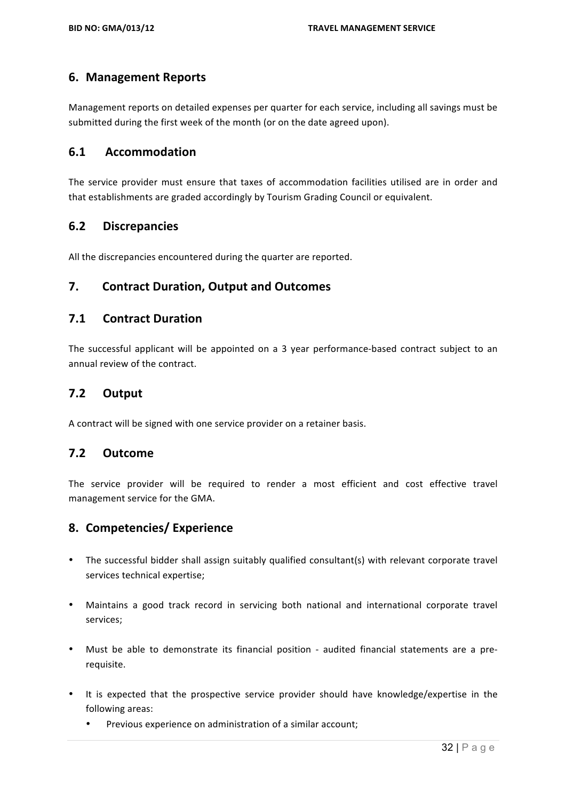### **6. Management Reports**

Management reports on detailed expenses per quarter for each service, including all savings must be submitted during the first week of the month (or on the date agreed upon).

#### **6.1 Accommodation**

The service provider must ensure that taxes of accommodation facilities utilised are in order and that establishments are graded accordingly by Tourism Grading Council or equivalent.

#### **6.2 Discrepancies**

All the discrepancies encountered during the quarter are reported.

#### **7.** Contract Duration, Output and Outcomes

#### **7.1 Contract Duration**

The successful applicant will be appointed on a 3 year performance-based contract subject to an annual review of the contract.

#### **7.2 Output**

A contract will be signed with one service provider on a retainer basis.

#### **7.2 Outcome**

The service provider will be required to render a most efficient and cost effective travel management service for the GMA.

#### **8. Competencies/ Experience**

- The successful bidder shall assign suitably qualified consultant(s) with relevant corporate travel services technical expertise;
- Maintains a good track record in servicing both national and international corporate travel services;
- Must be able to demonstrate its financial position audited financial statements are a prerequisite.
- It is expected that the prospective service provider should have knowledge/expertise in the following areas:
	- Previous experience on administration of a similar account;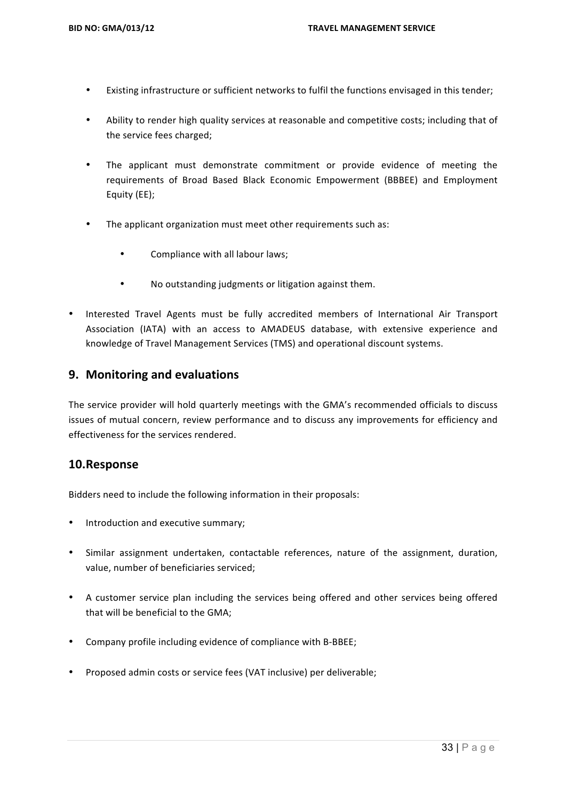- Existing infrastructure or sufficient networks to fulfil the functions envisaged in this tender;
- Ability to render high quality services at reasonable and competitive costs; including that of the service fees charged;
- The applicant must demonstrate commitment or provide evidence of meeting the requirements of Broad Based Black Economic Empowerment (BBBEE) and Employment Equity (EE);
- The applicant organization must meet other requirements such as:
	- Compliance with all labour laws;
	- No outstanding judgments or litigation against them.
- Interested Travel Agents must be fully accredited members of International Air Transport Association (IATA) with an access to AMADEUS database, with extensive experience and knowledge of Travel Management Services (TMS) and operational discount systems.

#### **9.** Monitoring and evaluations

The service provider will hold quarterly meetings with the GMA's recommended officials to discuss issues of mutual concern, review performance and to discuss any improvements for efficiency and effectiveness for the services rendered.

#### **10.Response**

Bidders need to include the following information in their proposals:

- Introduction and executive summary;
- Similar assignment undertaken, contactable references, nature of the assignment, duration, value, number of beneficiaries serviced;
- A customer service plan including the services being offered and other services being offered that will be beneficial to the GMA;
- Company profile including evidence of compliance with B-BBEE;
- Proposed admin costs or service fees (VAT inclusive) per deliverable: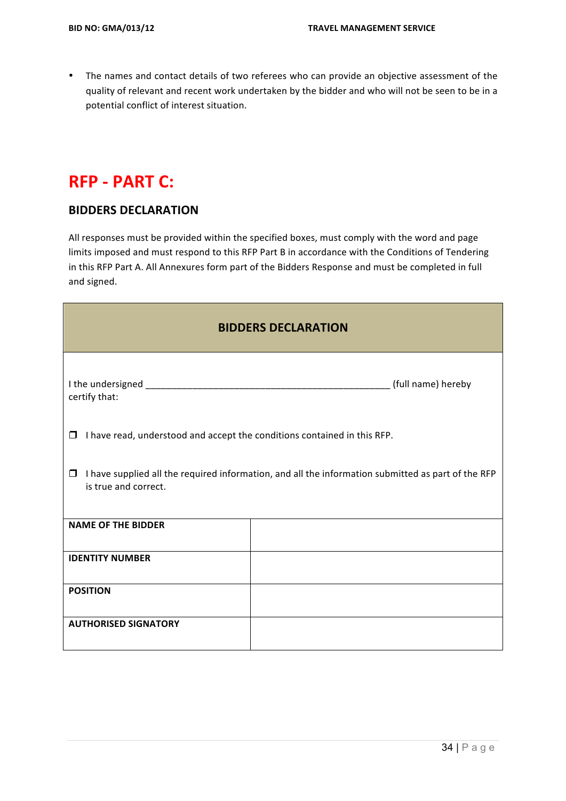• The names and contact details of two referees who can provide an objective assessment of the quality of relevant and recent work undertaken by the bidder and who will not be seen to be in a potential conflict of interest situation.

## **RFP - PART C:**

### **BIDDERS DECLARATION**

All responses must be provided within the specified boxes, must comply with the word and page limits imposed and must respond to this RFP Part B in accordance with the Conditions of Tendering in this RFP Part A. All Annexures form part of the Bidders Response and must be completed in full and signed.

| <b>BIDDERS DECLARATION</b>                                                                                                           |                    |  |  |
|--------------------------------------------------------------------------------------------------------------------------------------|--------------------|--|--|
| certify that:                                                                                                                        | (full name) hereby |  |  |
| I have read, understood and accept the conditions contained in this RFP.<br>$\Box$                                                   |                    |  |  |
| I have supplied all the required information, and all the information submitted as part of the RFP<br>$\Box$<br>is true and correct. |                    |  |  |
| <b>NAME OF THE BIDDER</b>                                                                                                            |                    |  |  |
| <b>IDENTITY NUMBER</b>                                                                                                               |                    |  |  |
| <b>POSITION</b>                                                                                                                      |                    |  |  |
| <b>AUTHORISED SIGNATORY</b>                                                                                                          |                    |  |  |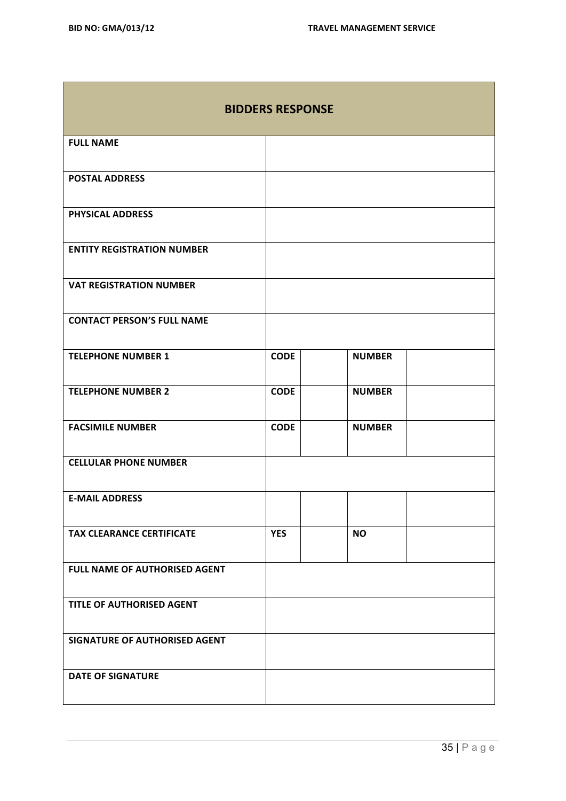<u> Tanzania (h. 18</u>

| <b>BIDDERS RESPONSE</b>           |             |               |  |  |
|-----------------------------------|-------------|---------------|--|--|
| <b>FULL NAME</b>                  |             |               |  |  |
| <b>POSTAL ADDRESS</b>             |             |               |  |  |
| <b>PHYSICAL ADDRESS</b>           |             |               |  |  |
| <b>ENTITY REGISTRATION NUMBER</b> |             |               |  |  |
| <b>VAT REGISTRATION NUMBER</b>    |             |               |  |  |
| <b>CONTACT PERSON'S FULL NAME</b> |             |               |  |  |
| <b>TELEPHONE NUMBER 1</b>         | <b>CODE</b> | <b>NUMBER</b> |  |  |
| <b>TELEPHONE NUMBER 2</b>         | <b>CODE</b> | <b>NUMBER</b> |  |  |
| <b>FACSIMILE NUMBER</b>           | <b>CODE</b> | <b>NUMBER</b> |  |  |
| <b>CELLULAR PHONE NUMBER</b>      |             |               |  |  |
| <b>E-MAIL ADDRESS</b>             |             |               |  |  |
| <b>TAX CLEARANCE CERTIFICATE</b>  | <b>YES</b>  | <b>NO</b>     |  |  |
| FULL NAME OF AUTHORISED AGENT     |             |               |  |  |
| TITLE OF AUTHORISED AGENT         |             |               |  |  |
| SIGNATURE OF AUTHORISED AGENT     |             |               |  |  |
| <b>DATE OF SIGNATURE</b>          |             |               |  |  |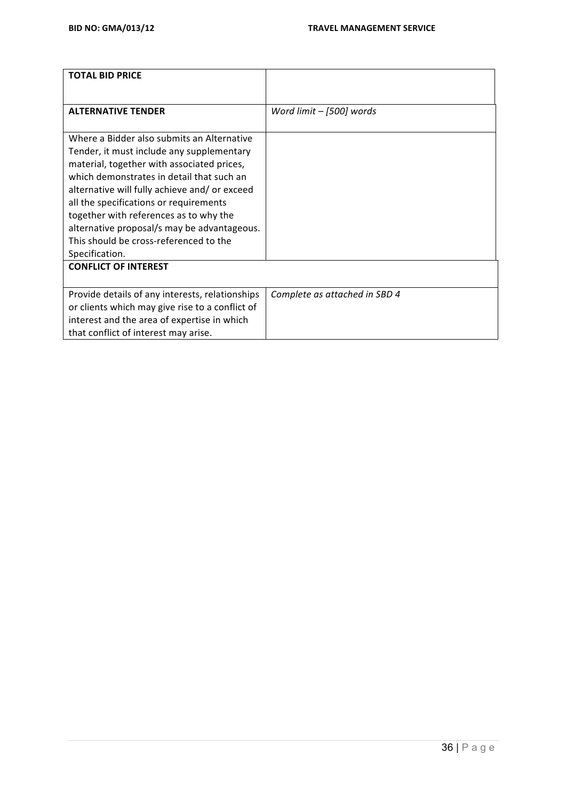| <b>TOTAL BID PRICE</b>                          |                               |
|-------------------------------------------------|-------------------------------|
|                                                 |                               |
| <b>ALTERNATIVE TENDER</b>                       | Word limit - [500] words      |
|                                                 |                               |
| Where a Bidder also submits an Alternative      |                               |
| Tender, it must include any supplementary       |                               |
| material, together with associated prices,      |                               |
| which demonstrates in detail that such an       |                               |
| alternative will fully achieve and/or exceed    |                               |
| all the specifications or requirements          |                               |
| together with references as to why the          |                               |
| alternative proposal/s may be advantageous.     |                               |
| This should be cross-referenced to the          |                               |
| Specification.                                  |                               |
| <b>CONFLICT OF INTEREST</b>                     |                               |
|                                                 |                               |
| Provide details of any interests, relationships | Complete as attached in SBD 4 |
| or clients which may give rise to a conflict of |                               |
| interest and the area of expertise in which     |                               |
| that conflict of interest may arise.            |                               |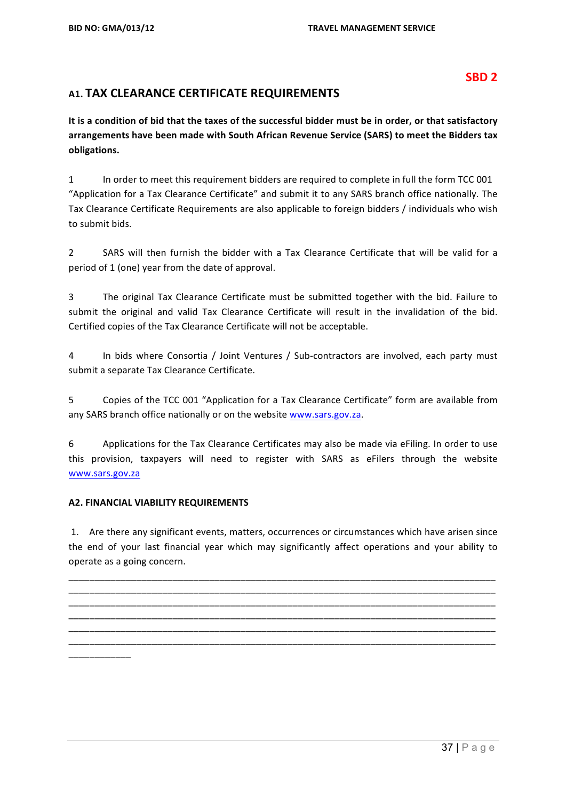#### **SBD 2**

## **A1. TAX CLEARANCE CERTIFICATE REQUIREMENTS**

It is a condition of bid that the taxes of the successful bidder must be in order, or that satisfactory arrangements have been made with South African Revenue Service (SARS) to meet the Bidders tax **obligations.**

1 In order to meet this requirement bidders are required to complete in full the form TCC 001 "Application for a Tax Clearance Certificate" and submit it to any SARS branch office nationally. The Tax Clearance Certificate Requirements are also applicable to foreign bidders / individuals who wish to submit bids.

2 SARS will then furnish the bidder with a Tax Clearance Certificate that will be valid for a period of 1 (one) year from the date of approval.

3 The original Tax Clearance Certificate must be submitted together with the bid. Failure to submit the original and valid Tax Clearance Certificate will result in the invalidation of the bid. Certified copies of the Tax Clearance Certificate will not be acceptable.

4 In bids where Consortia / Joint Ventures / Sub-contractors are involved, each party must submit a separate Tax Clearance Certificate.

5 Copies of the TCC 001 "Application for a Tax Clearance Certificate" form are available from any SARS branch office nationally or on the website www.sars.gov.za.

6 Applications for the Tax Clearance Certificates may also be made via eFiling. In order to use this provision, taxpayers will need to register with SARS as eFilers through the website www.sars.gov.za

#### **A2. FINANCIAL VIABILITY REQUIREMENTS**

1. Are there any significant events, matters, occurrences or circumstances which have arisen since the end of your last financial year which may significantly affect operations and your ability to operate as a going concern.

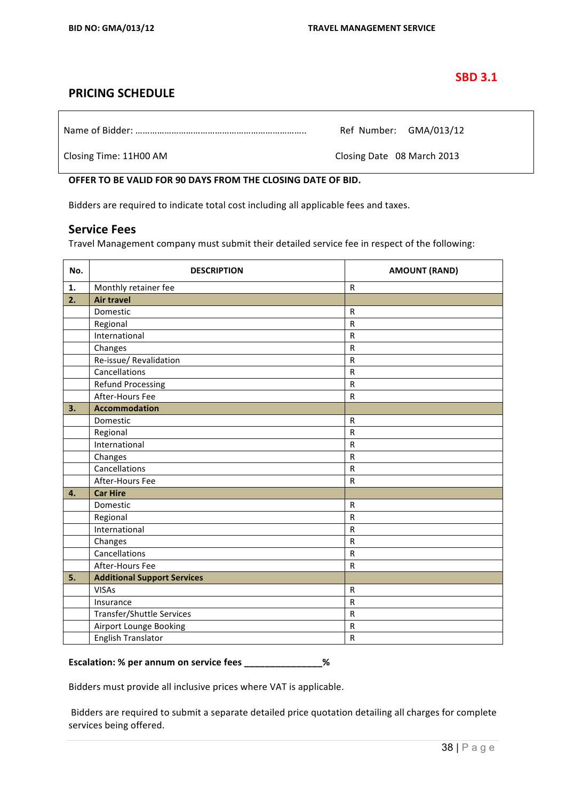#### **SBD 3.1**

## **PRICING SCHEDULE**

Name of Bidder: …………………………………………………………….. Ref Number: GMA/013/12

Closing Time: 11H00 AM Closing Date 08 March 2013

#### OFFER TO BE VALID FOR 90 DAYS FROM THE CLOSING DATE OF BID.

Bidders are required to indicate total cost including all applicable fees and taxes.

#### **Service Fees**

Travel Management company must submit their detailed service fee in respect of the following:

| No. | <b>DESCRIPTION</b>                 | <b>AMOUNT (RAND)</b>    |
|-----|------------------------------------|-------------------------|
| 1.  | Monthly retainer fee               | $\mathsf{R}$            |
| 2.  | <b>Air travel</b>                  |                         |
|     | Domestic                           | $\mathsf{R}$            |
|     | Regional                           | $\overline{\mathsf{R}}$ |
|     | International                      | $\mathsf{R}$            |
|     | Changes                            | R                       |
|     | Re-issue/ Revalidation             | $\mathsf{R}$            |
|     | Cancellations                      | ${\sf R}$               |
|     | Refund Processing                  | $\mathsf{R}$            |
|     | After-Hours Fee                    | ${\sf R}$               |
| 3.  | <b>Accommodation</b>               |                         |
|     | Domestic                           | $\mathsf{R}$            |
|     | Regional                           | $\mathsf{R}$            |
|     | International                      | $\mathsf{R}$            |
|     | Changes                            | $\mathsf{R}$            |
|     | Cancellations                      | $\mathsf{R}$            |
|     | After-Hours Fee                    | ${\sf R}$               |
| 4.  | <b>Car Hire</b>                    |                         |
|     | Domestic                           | $\mathsf{R}$            |
|     | Regional                           | $\mathsf{R}$            |
|     | International                      | $\mathsf{R}$            |
|     | Changes                            | ${\sf R}$               |
|     | Cancellations                      | $\mathsf{R}$            |
|     | After-Hours Fee                    | $\mathsf{R}$            |
| 5.  | <b>Additional Support Services</b> |                         |
|     | <b>VISAs</b>                       | $\mathsf{R}$            |
|     | Insurance                          | ${\sf R}$               |
|     | Transfer/Shuttle Services          | $\mathsf R$             |
|     | Airport Lounge Booking             | $\mathsf{R}$            |
|     | <b>English Translator</b>          | ${\sf R}$               |

#### **Escalation: % per annum on service fees \_\_\_\_\_\_\_\_\_\_\_\_\_\_\_%**

Bidders must provide all inclusive prices where VAT is applicable.

Bidders are required to submit a separate detailed price quotation detailing all charges for complete services being offered.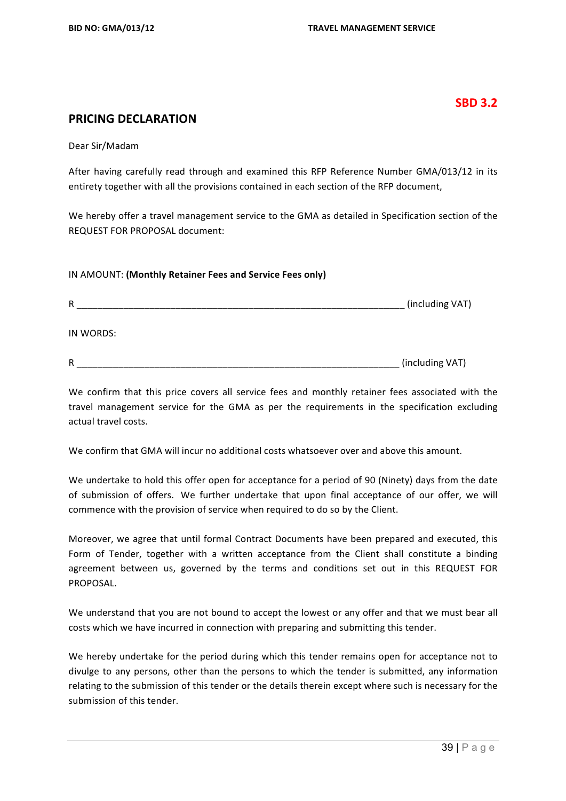#### **SBD 3.2**

#### **PRICING DECLARATION**

Dear Sir/Madam

After having carefully read through and examined this RFP Reference Number GMA/013/12 in its entirety together with all the provisions contained in each section of the RFP document,

We hereby offer a travel management service to the GMA as detailed in Specification section of the REQUEST FOR PROPOSAL document:

#### IN AMOUNT: **(Monthly Retainer Fees and Service Fees only)**

| R |           | (including VAT) |
|---|-----------|-----------------|
|   |           |                 |
|   | IN WORDS: |                 |

R <sub>contract</sub> the contract of the contract of the contract of the contract of the contract of the contract of the contract of the contract of the contract of the contract of the contract of the contract of the contract of t

We confirm that this price covers all service fees and monthly retainer fees associated with the travel management service for the GMA as per the requirements in the specification excluding actual travel costs.

We confirm that GMA will incur no additional costs whatsoever over and above this amount.

We undertake to hold this offer open for acceptance for a period of 90 (Ninety) days from the date of submission of offers. We further undertake that upon final acceptance of our offer, we will commence with the provision of service when required to do so by the Client.

Moreover, we agree that until formal Contract Documents have been prepared and executed, this Form of Tender, together with a written acceptance from the Client shall constitute a binding agreement between us, governed by the terms and conditions set out in this REQUEST FOR PROPOSAL.

We understand that you are not bound to accept the lowest or any offer and that we must bear all costs which we have incurred in connection with preparing and submitting this tender.

We hereby undertake for the period during which this tender remains open for acceptance not to divulge to any persons, other than the persons to which the tender is submitted, any information relating to the submission of this tender or the details therein except where such is necessary for the submission of this tender.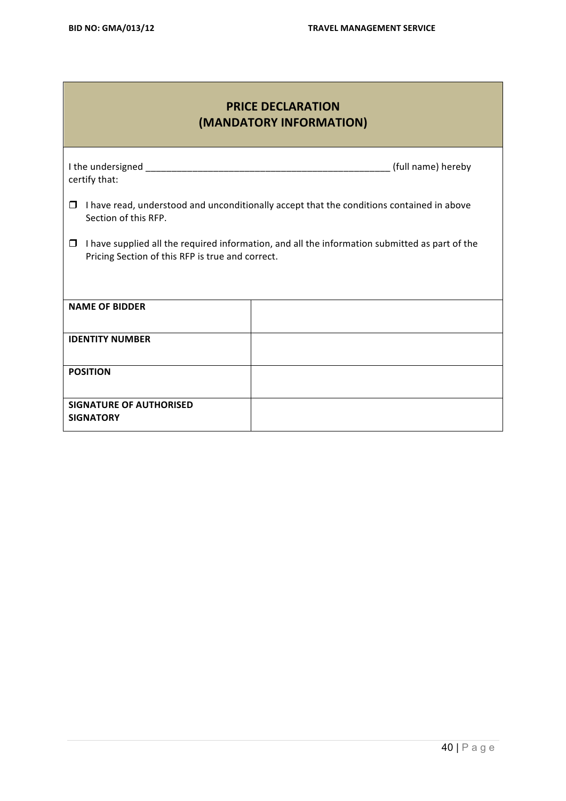## **PRICE DECLARATION (MANDATORY INFORMATION)**

| I the undersigned<br>certify that:                                                                                                                      | (full name) hereby                                                                        |  |  |
|---------------------------------------------------------------------------------------------------------------------------------------------------------|-------------------------------------------------------------------------------------------|--|--|
| □<br>Section of this RFP.                                                                                                                               | I have read, understood and unconditionally accept that the conditions contained in above |  |  |
| I have supplied all the required information, and all the information submitted as part of the<br>□<br>Pricing Section of this RFP is true and correct. |                                                                                           |  |  |
|                                                                                                                                                         |                                                                                           |  |  |
| <b>NAME OF BIDDER</b>                                                                                                                                   |                                                                                           |  |  |
| <b>IDENTITY NUMBER</b>                                                                                                                                  |                                                                                           |  |  |
| <b>POSITION</b>                                                                                                                                         |                                                                                           |  |  |
| <b>SIGNATURE OF AUTHORISED</b><br><b>SIGNATORY</b>                                                                                                      |                                                                                           |  |  |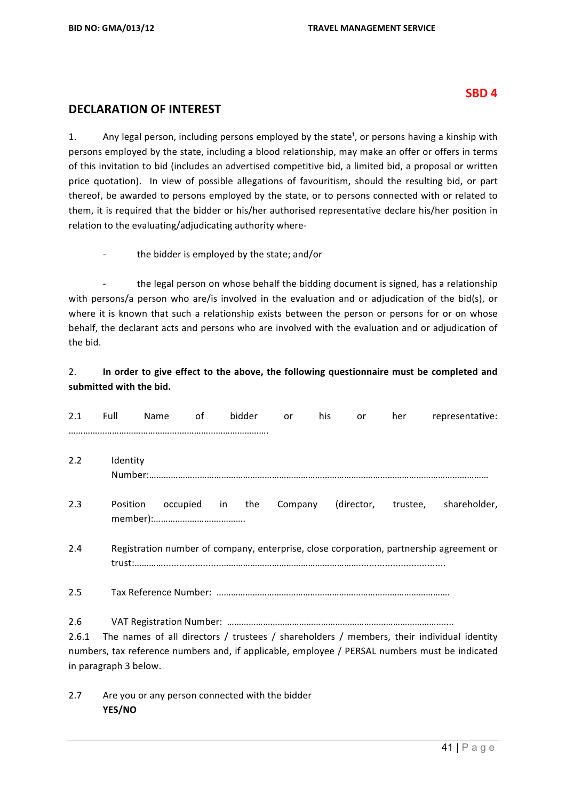#### **SBD 4**

#### **DECLARATION OF INTEREST**

1. Any legal person, including persons employed by the state<sup>1</sup>, or persons having a kinship with persons employed by the state, including a blood relationship, may make an offer or offers in terms of this invitation to bid (includes an advertised competitive bid, a limited bid, a proposal or written price quotation). In view of possible allegations of favouritism, should the resulting bid, or part thereof, be awarded to persons employed by the state, or to persons connected with or related to them, it is required that the bidder or his/her authorised representative declare his/her position in relation to the evaluating/adjudicating authority where-

- the bidder is employed by the state; and/or

the legal person on whose behalf the bidding document is signed, has a relationship with persons/a person who are/is involved in the evaluation and or adjudication of the bid(s), or where it is known that such a relationship exists between the person or persons for or on whose behalf, the declarant acts and persons who are involved with the evaluation and or adjudication of the bid.

#### 2. In order to give effect to the above, the following questionnaire must be completed and submitted with the bid.

| 2.1          | Full                  | Name     | of    | bidder | or      | his | or         | her      | representative:                                                                                                                                                                             |
|--------------|-----------------------|----------|-------|--------|---------|-----|------------|----------|---------------------------------------------------------------------------------------------------------------------------------------------------------------------------------------------|
| 2.2          | Identity              |          |       |        |         |     |            |          |                                                                                                                                                                                             |
| 2.3          | Position              | occupied | in in | the    | Company |     | (director, | trustee, | shareholder,                                                                                                                                                                                |
| 2.4          |                       |          |       |        |         |     |            |          | Registration number of company, enterprise, close corporation, partnership agreement or                                                                                                     |
| 2.5          |                       |          |       |        |         |     |            |          |                                                                                                                                                                                             |
| 2.6<br>2.6.1 | in paragraph 3 below. |          |       |        |         |     |            |          | The names of all directors / trustees / shareholders / members, their individual identity<br>numbers, tax reference numbers and, if applicable, employee / PERSAL numbers must be indicated |

2.7 Are you or any person connected with the bidder **YES/NO**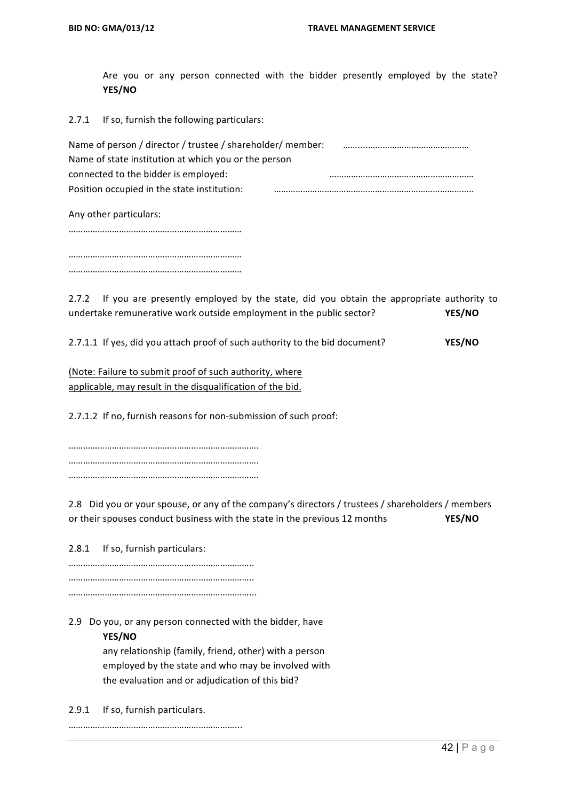Are you or any person connected with the bidder presently employed by the state? **YES/NO**

2.7.1 If so, furnish the following particulars:

| Name of person / director / trustee / shareholder/ member: |  |
|------------------------------------------------------------|--|
| Name of state institution at which you or the person       |  |
| connected to the bidder is employed:                       |  |
| Position occupied in the state institution:                |  |
| Any other particulars:                                     |  |
|                                                            |  |

……………………………………………………………… ………………………………………………………………

2.7.2 If you are presently employed by the state, did you obtain the appropriate authority to undertake remunerative work outside employment in the public sector? **YES/NO** 

2.7.1.1 If yes, did you attach proof of such authority to the bid document? **YES/NO** 

(Note: Failure to submit proof of such authority, where applicable, may result in the disqualification of the bid.

2.7.1.2 If no, furnish reasons for non-submission of such proof:

……………………………………………………………………. ……………………………………………………………………. …………………………………………………………………….

2.8 Did you or your spouse, or any of the company's directors / trustees / shareholders / members or their spouses conduct business with the state in the previous 12 months **YES/NO** 

2.8.1 If so, furnish particulars:

………………………………………………………………….. ………………………………………………………………….. …………………………………………………………………...

2.9 Do you, or any person connected with the bidder, have

#### **YES/NO**

any relationship (family, friend, other) with a person employed by the state and who may be involved with the evaluation and or adjudication of this bid?

2.9.1 If so, furnish particulars.

……………………………………………………………...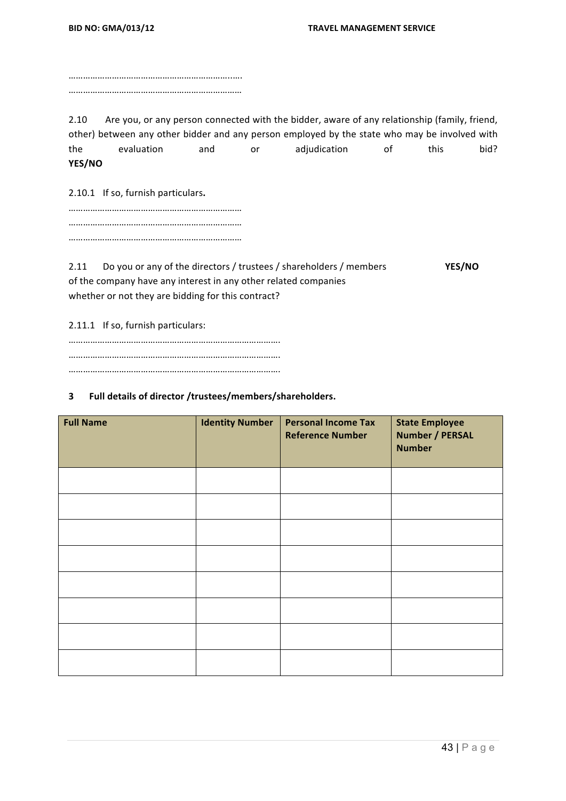**BID NO: GMA/013/12 TRAVEL MANAGEMENT SERVICE** 

…………………………………………………………..…. ………………………………………………………………

2.10 Are you, or any person connected with the bidder, aware of any relationship (family, friend, other) between any other bidder and any person employed by the state who may be involved with the evaluation and or adjudication of this bid? **YES/NO**

2.10.1 If so, furnish particulars.

……………………………………………………………… ……………………………………………………………… ………………………………………………………………

2.11 Do you or any of the directors / trustees / shareholders / members **YES/NO** of the company have any interest in any other related companies whether or not they are bidding for this contract?

2.11.1 If so, furnish particulars:

……………………………………………………………………………. ……………………………………………………………………………. …………………………………………………………………………….

#### **3 Full details of director /trustees/members/shareholders.**

| <b>Full Name</b> | <b>Identity Number</b> | <b>Personal Income Tax</b><br><b>Reference Number</b> | <b>State Employee</b><br><b>Number / PERSAL</b><br><b>Number</b> |
|------------------|------------------------|-------------------------------------------------------|------------------------------------------------------------------|
|                  |                        |                                                       |                                                                  |
|                  |                        |                                                       |                                                                  |
|                  |                        |                                                       |                                                                  |
|                  |                        |                                                       |                                                                  |
|                  |                        |                                                       |                                                                  |
|                  |                        |                                                       |                                                                  |
|                  |                        |                                                       |                                                                  |
|                  |                        |                                                       |                                                                  |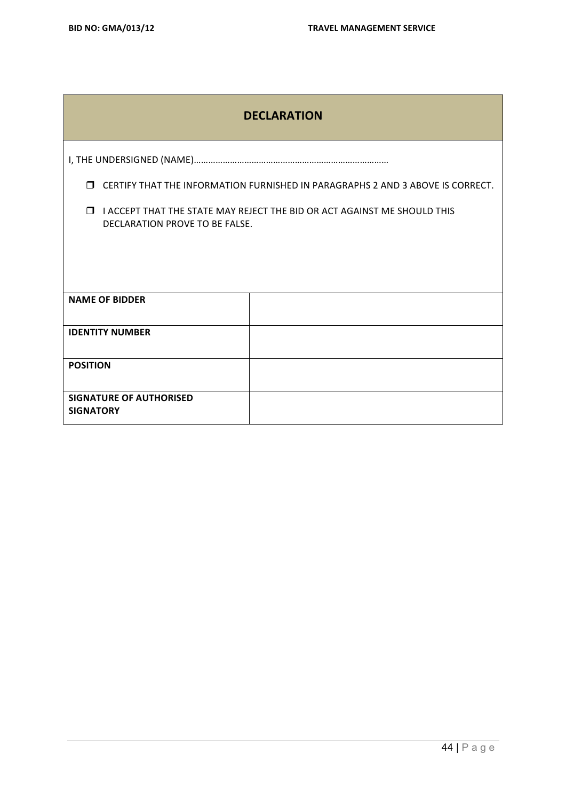| <b>DECLARATION</b>                                                                                                   |                                                                                         |  |  |  |
|----------------------------------------------------------------------------------------------------------------------|-----------------------------------------------------------------------------------------|--|--|--|
|                                                                                                                      |                                                                                         |  |  |  |
|                                                                                                                      | <b>I CERTIFY THAT THE INFORMATION FURNISHED IN PARAGRAPHS 2 AND 3 ABOVE IS CORRECT.</b> |  |  |  |
| $\Box$<br>I ACCEPT THAT THE STATE MAY REJECT THE BID OR ACT AGAINST ME SHOULD THIS<br>DECLARATION PROVE TO BE FALSE. |                                                                                         |  |  |  |
|                                                                                                                      |                                                                                         |  |  |  |
|                                                                                                                      |                                                                                         |  |  |  |
| <b>NAME OF BIDDER</b>                                                                                                |                                                                                         |  |  |  |
| <b>IDENTITY NUMBER</b>                                                                                               |                                                                                         |  |  |  |
| <b>POSITION</b>                                                                                                      |                                                                                         |  |  |  |
| <b>SIGNATURE OF AUTHORISED</b><br><b>SIGNATORY</b>                                                                   |                                                                                         |  |  |  |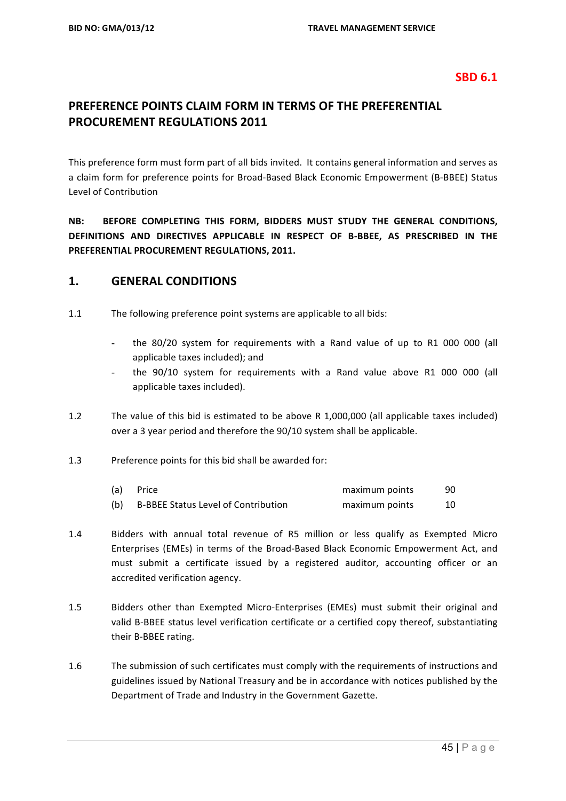#### **SBD 6.1**

## **PREFERENCE POINTS CLAIM FORM IN TERMS OF THE PREFERENTIAL PROCUREMENT REGULATIONS 2011**

This preference form must form part of all bids invited. It contains general information and serves as a claim form for preference points for Broad-Based Black Economic Empowerment (B-BBEE) Status Level of Contribution 

**NB: BEFORE COMPLETING THIS FORM, BIDDERS MUST STUDY THE GENERAL CONDITIONS,** DEFINITIONS AND DIRECTIVES APPLICABLE IN RESPECT OF B-BBEE, AS PRESCRIBED IN THE **PREFERENTIAL PROCUREMENT REGULATIONS, 2011.** 

#### **1. GENERAL CONDITIONS**

- 1.1 The following preference point systems are applicable to all bids:
	- the  $80/20$  system for requirements with a Rand value of up to R1 000 000 (all applicable taxes included); and
	- the 90/10 system for requirements with a Rand value above R1 000 000 (all applicable taxes included).
- 1.2 The value of this bid is estimated to be above R 1,000,000 (all applicable taxes included) over a 3 year period and therefore the 90/10 system shall be applicable.
- 1.3 Preference points for this bid shall be awarded for:

| (a) | Price                                      | maximum points | 90 |
|-----|--------------------------------------------|----------------|----|
| (b) | <b>B-BBEE Status Level of Contribution</b> | maximum points |    |

- 1.4 Bidders with annual total revenue of R5 million or less qualify as Exempted Micro Enterprises (EMEs) in terms of the Broad-Based Black Economic Empowerment Act, and must submit a certificate issued by a registered auditor, accounting officer or an accredited verification agency.
- 1.5 Bidders other than Exempted Micro-Enterprises (EMEs) must submit their original and valid B-BBEE status level verification certificate or a certified copy thereof, substantiating their B-BBEE rating.
- 1.6 The submission of such certificates must comply with the requirements of instructions and guidelines issued by National Treasury and be in accordance with notices published by the Department of Trade and Industry in the Government Gazette.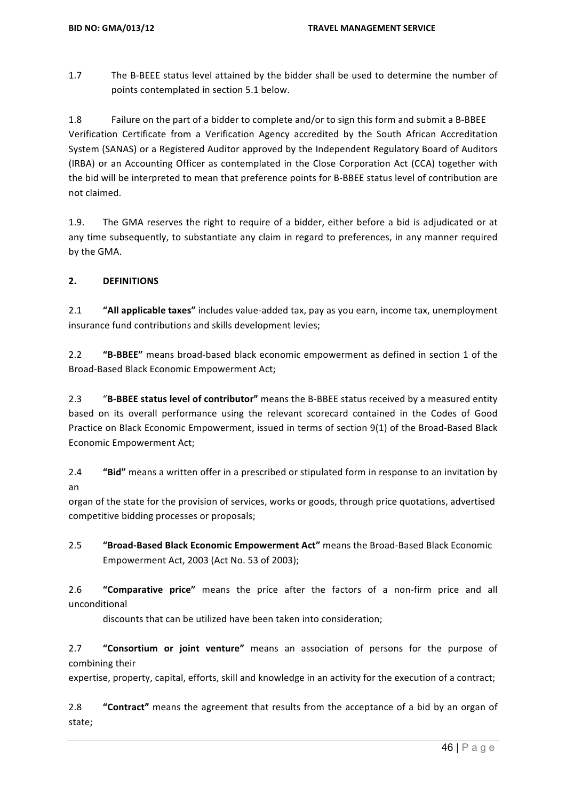1.7 The B-BEEE status level attained by the bidder shall be used to determine the number of points contemplated in section 5.1 below.

1.8 Failure on the part of a bidder to complete and/or to sign this form and submit a B-BBEE Verification Certificate from a Verification Agency accredited by the South African Accreditation System (SANAS) or a Registered Auditor approved by the Independent Regulatory Board of Auditors (IRBA) or an Accounting Officer as contemplated in the Close Corporation Act (CCA) together with the bid will be interpreted to mean that preference points for B-BBEE status level of contribution are not claimed.

1.9. The GMA reserves the right to require of a bidder, either before a bid is adjudicated or at any time subsequently, to substantiate any claim in regard to preferences, in any manner required by the GMA.

#### **2. DEFINITIONS**

2.1 "All applicable taxes" includes value-added tax, pay as you earn, income tax, unemployment insurance fund contributions and skills development levies;

2.2 **"B-BBEE"** means broad-based black economic empowerment as defined in section 1 of the Broad-Based Black Economic Empowerment Act;

2.3 "B-BBEE status level of contributor" means the B-BBEE status received by a measured entity based on its overall performance using the relevant scorecard contained in the Codes of Good Practice on Black Economic Empowerment, issued in terms of section 9(1) of the Broad-Based Black Economic Empowerment Act;

2.4 **"Bid"** means a written offer in a prescribed or stipulated form in response to an invitation by an

organ of the state for the provision of services, works or goods, through price quotations, advertised competitive bidding processes or proposals:

2.5 **"Broad-Based Black Economic Empowerment Act"** means the Broad-Based Black Economic Empowerment Act, 2003 (Act No. 53 of 2003);

2.6 **"Comparative price"** means the price after the factors of a non-firm price and all unconditional

discounts that can be utilized have been taken into consideration;

2.7 **"Consortium or joint venture"** means an association of persons for the purpose of combining their

expertise, property, capital, efforts, skill and knowledge in an activity for the execution of a contract;

2.8 **"Contract"** means the agreement that results from the acceptance of a bid by an organ of state;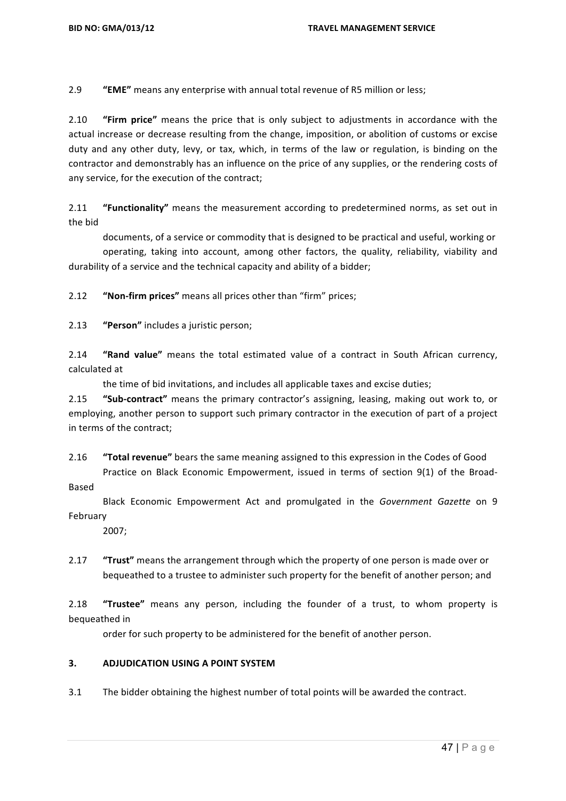2.9 **"EME"** means any enterprise with annual total revenue of R5 million or less;

2.10 **"Firm price"** means the price that is only subject to adjustments in accordance with the actual increase or decrease resulting from the change, imposition, or abolition of customs or excise duty and any other duty, levy, or tax, which, in terms of the law or regulation, is binding on the contractor and demonstrably has an influence on the price of any supplies, or the rendering costs of any service, for the execution of the contract;

2.11 **"Functionality"** means the measurement according to predetermined norms, as set out in the **bid** 

documents, of a service or commodity that is designed to be practical and useful, working or

operating, taking into account, among other factors, the quality, reliability, viability and durability of a service and the technical capacity and ability of a bidder;

2.12 **"Non-firm prices"** means all prices other than "firm" prices;

2.13 **"Person"** includes a juristic person;

2.14 **"Rand value"** means the total estimated value of a contract in South African currency, calculated at

the time of bid invitations, and includes all applicable taxes and excise duties;

2.15 **"Sub-contract"** means the primary contractor's assigning, leasing, making out work to, or employing, another person to support such primary contractor in the execution of part of a project in terms of the contract;

- 2.16 **"Total revenue"** bears the same meaning assigned to this expression in the Codes of Good Practice on Black Economic Empowerment, issued in terms of section 9(1) of the Broad-
- Based

Black Economic Empowerment Act and promulgated in the *Government Gazette* on 9 February

- 2007;
- 2.17 **"Trust"** means the arrangement through which the property of one person is made over or bequeathed to a trustee to administer such property for the benefit of another person; and

2.18 **"Trustee"** means any person, including the founder of a trust, to whom property is bequeathed in

order for such property to be administered for the benefit of another person.

#### **3. ADJUDICATION USING A POINT SYSTEM**

3.1 The bidder obtaining the highest number of total points will be awarded the contract.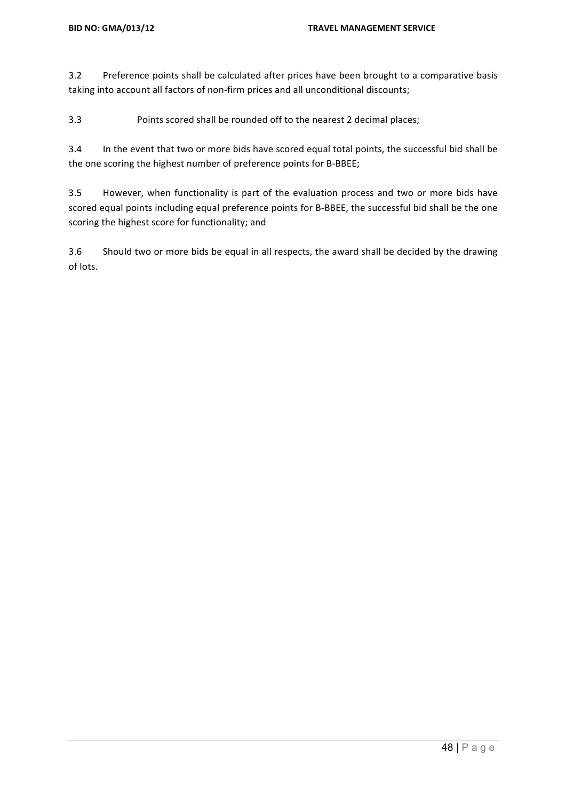3.2 Preference points shall be calculated after prices have been brought to a comparative basis taking into account all factors of non-firm prices and all unconditional discounts;

3.3 Points scored shall be rounded off to the nearest 2 decimal places;

3.4 In the event that two or more bids have scored equal total points, the successful bid shall be the one scoring the highest number of preference points for B-BBEE;

3.5 However, when functionality is part of the evaluation process and two or more bids have scored equal points including equal preference points for B-BBEE, the successful bid shall be the one scoring the highest score for functionality; and

3.6 Should two or more bids be equal in all respects, the award shall be decided by the drawing of lots.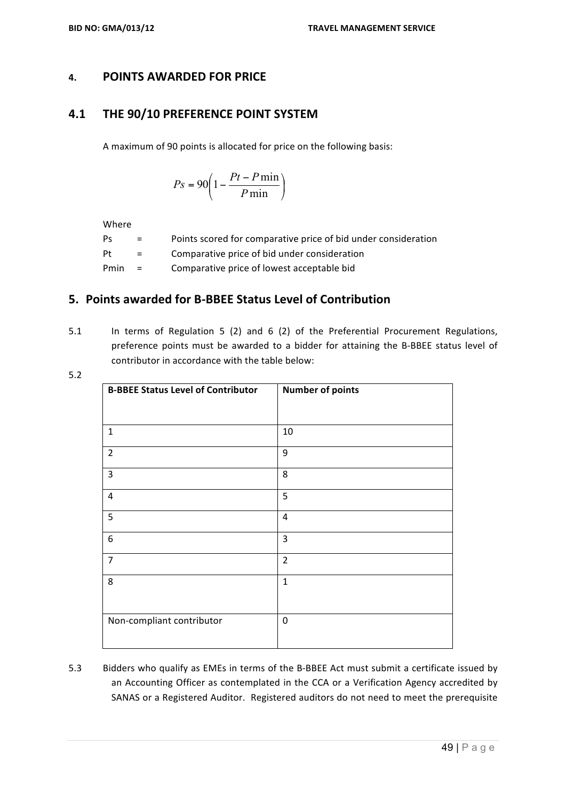#### **4. POINTS AWARDED FOR PRICE**

#### **4.1 THE 90/10 PREFERENCE POINT SYSTEM**

A maximum of 90 points is allocated for price on the following basis:

$$
Ps = 90 \left( 1 - \frac{Pt - P \min}{P \min} \right)
$$

Where

| Ps   | $=$ | Points scored for comparative price of bid under consideration |
|------|-----|----------------------------------------------------------------|
| Pt   | $=$ | Comparative price of bid under consideration                   |
| Pmin | $=$ | Comparative price of lowest acceptable bid                     |

## **5. Points awarded for B-BBEE Status Level of Contribution**

5.1 In terms of Regulation 5 (2) and 6 (2) of the Preferential Procurement Regulations, preference points must be awarded to a bidder for attaining the B-BBEE status level of contributor in accordance with the table below:

|                    | ٠<br>and the |
|--------------------|--------------|
| -<br>۰,<br>۰.<br>M |              |

| <b>B-BBEE Status Level of Contributor</b> | <b>Number of points</b> |
|-------------------------------------------|-------------------------|
|                                           |                         |
| $\mathbf 1$                               | 10                      |
| $\overline{2}$                            | 9                       |
| 3                                         | $\,8\,$                 |
| 4                                         | 5                       |
| 5                                         | $\overline{4}$          |
| 6                                         | $\overline{3}$          |
| $\overline{7}$                            | $\overline{2}$          |
| 8                                         | $\mathbf{1}$            |
|                                           |                         |
| Non-compliant contributor                 | $\mathbf 0$             |

5.3 Bidders who qualify as EMEs in terms of the B-BBEE Act must submit a certificate issued by an Accounting Officer as contemplated in the CCA or a Verification Agency accredited by SANAS or a Registered Auditor. Registered auditors do not need to meet the prerequisite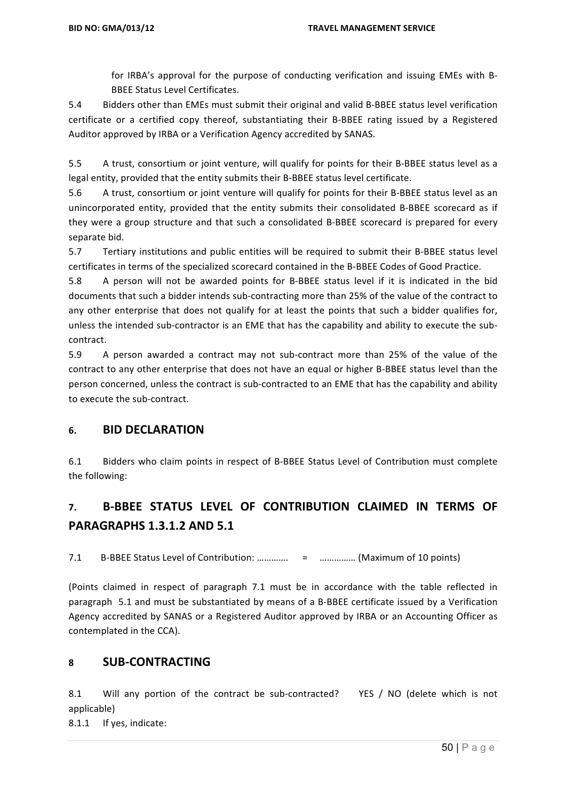for IRBA's approval for the purpose of conducting verification and issuing EMEs with B-**BBEE Status Level Certificates.** 

5.4 Bidders other than EMEs must submit their original and valid B-BBEE status level verification certificate or a certified copy thereof, substantiating their B-BBEE rating issued by a Registered Auditor approved by IRBA or a Verification Agency accredited by SANAS.

5.5 A trust, consortium or joint venture, will qualify for points for their B-BBEE status level as a legal entity, provided that the entity submits their B-BBEE status level certificate.

5.6 A trust, consortium or joint venture will qualify for points for their B-BBEE status level as an unincorporated entity, provided that the entity submits their consolidated B-BBEE scorecard as if they were a group structure and that such a consolidated B-BBEE scorecard is prepared for every separate bid.

5.7 Tertiary institutions and public entities will be required to submit their B-BBEE status level certificates in terms of the specialized scorecard contained in the B-BBEE Codes of Good Practice.

5.8 A person will not be awarded points for B-BBEE status level if it is indicated in the bid documents that such a bidder intends sub-contracting more than 25% of the value of the contract to any other enterprise that does not qualify for at least the points that such a bidder qualifies for, unless the intended sub-contractor is an EME that has the capability and ability to execute the subcontract.

5.9 A person awarded a contract may not sub-contract more than 25% of the value of the contract to any other enterprise that does not have an equal or higher B-BBEE status level than the person concerned, unless the contract is sub-contracted to an EME that has the capability and ability to execute the sub-contract.

#### **6. BID DECLARATION**

6.1 Bidders who claim points in respect of B-BBEE Status Level of Contribution must complete the following:

## **7. B-BBEE STATUS LEVEL OF CONTRIBUTION CLAIMED IN TERMS OF PARAGRAPHS 1.3.1.2 AND 5.1**

7.1 B-BBEE Status Level of Contribution: ………….. = ................ (Maximum of 10 points)

(Points claimed in respect of paragraph 7.1 must be in accordance with the table reflected in paragraph 5.1 and must be substantiated by means of a B-BBEE certificate issued by a Verification Agency accredited by SANAS or a Registered Auditor approved by IRBA or an Accounting Officer as contemplated in the CCA).

#### **8 SUB-CONTRACTING**

8.1 Will any portion of the contract be sub-contracted? YES / NO (delete which is not applicable) 

8.1.1 If yes, indicate: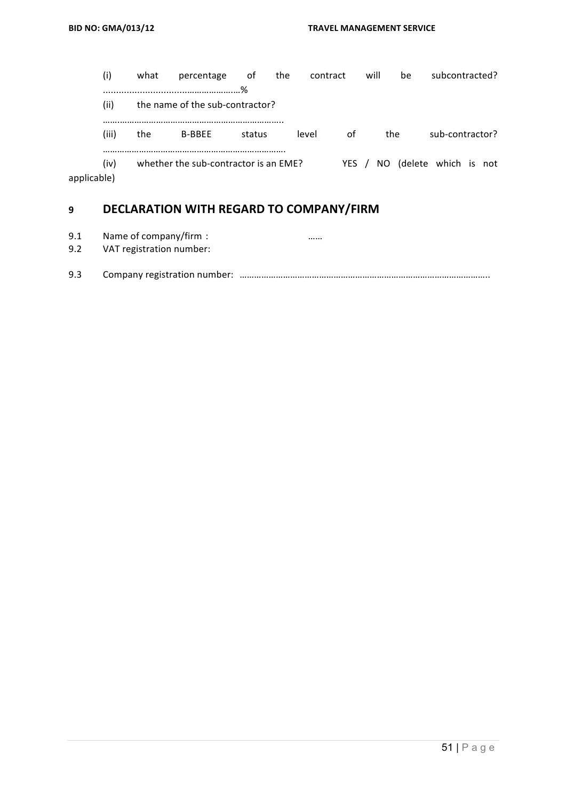| subcontracted?          | be | will |       | contract | the | 0t     | percentage                            | what | (i)                 |
|-------------------------|----|------|-------|----------|-----|--------|---------------------------------------|------|---------------------|
|                         |    |      |       |          |     | %      | the name of the sub-contractor?       |      | (ii)                |
| sub-contractor?         |    | the  | of    | level    |     | status | <b>B-BBEE</b>                         | the  | (iii)               |
| NO (delete which is not |    |      | YES / |          |     |        | whether the sub-contractor is an EME? |      | (iv)<br>applicable) |

## **9 DECLARATION WITH REGARD TO COMPANY/FIRM**

9.1 Name of company/firm : many company of the set of the set of the set of the set of the set of the set of the set of the set of the set of the set of the set of the set of the set of the set of the set of the set of the

9.2 VAT registration number:

```
9.3 Company	registration	number: …………………………………………………………………………………………..
```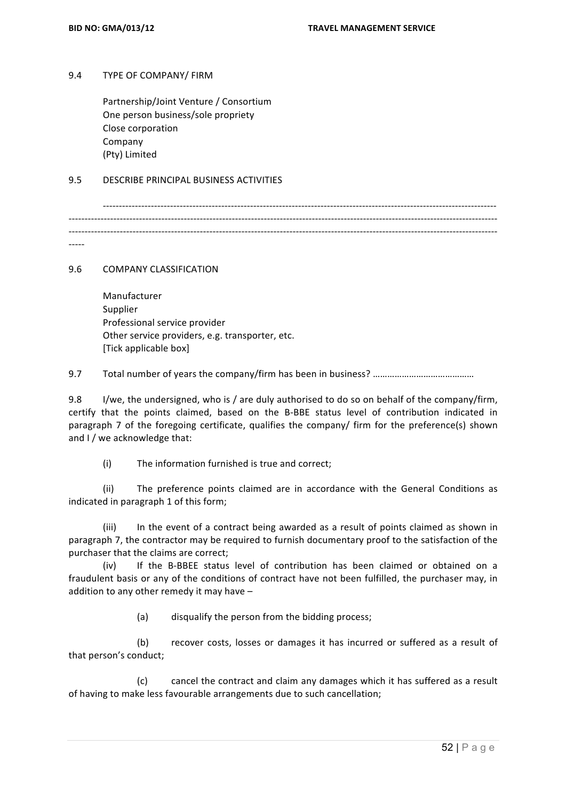#### 9.4 TYPE OF COMPANY/ FIRM

Partnership/Joint Venture / Consortium One person business/sole propriety Close corporation Company (Pty) Limited

#### 9.5 DESCRIBE PRINCIPAL BUSINESS ACTIVITIES

--------------------------------------------------------------------------------------------------------------------------- -------------------------------------------------------------------------------------------------------------------------------------- --------------------------------------------------------------------------------------------------------------------------------------

-----

9.6 COMPANY CLASSIFICATION

| Manufacturer                                    |
|-------------------------------------------------|
| Supplier                                        |
| Professional service provider                   |
| Other service providers, e.g. transporter, etc. |
| [Tick applicable box]                           |

9.7 Total number of years the company/firm has been in business? ………………………………………

9.8 I/we, the undersigned, who is / are duly authorised to do so on behalf of the company/firm, certify that the points claimed, based on the B-BBE status level of contribution indicated in paragraph 7 of the foregoing certificate, qualifies the company/ firm for the preference(s) shown and I / we acknowledge that:

(i) The information furnished is true and correct;

(ii) The preference points claimed are in accordance with the General Conditions as indicated in paragraph 1 of this form;

(iii) In the event of a contract being awarded as a result of points claimed as shown in paragraph 7, the contractor may be required to furnish documentary proof to the satisfaction of the purchaser that the claims are correct;

(iv) If the B-BBEE status level of contribution has been claimed or obtained on a fraudulent basis or any of the conditions of contract have not been fulfilled, the purchaser may, in addition to any other remedy it may have  $-$ 

(a) disqualify the person from the bidding process;

(b) recover costs, losses or damages it has incurred or suffered as a result of that person's conduct;

(c) cancel the contract and claim any damages which it has suffered as a result of having to make less favourable arrangements due to such cancellation;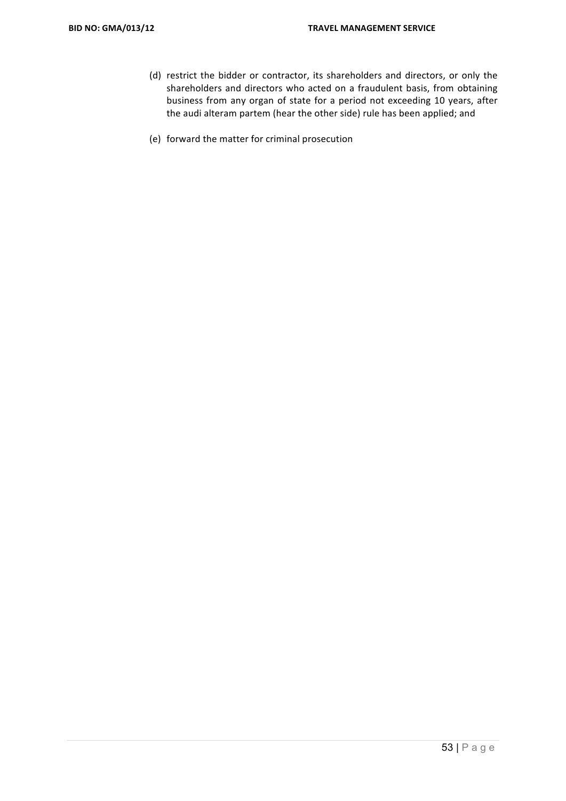- (d) restrict the bidder or contractor, its shareholders and directors, or only the shareholders and directors who acted on a fraudulent basis, from obtaining business from any organ of state for a period not exceeding 10 years, after the audi alteram partem (hear the other side) rule has been applied; and
- (e) forward the matter for criminal prosecution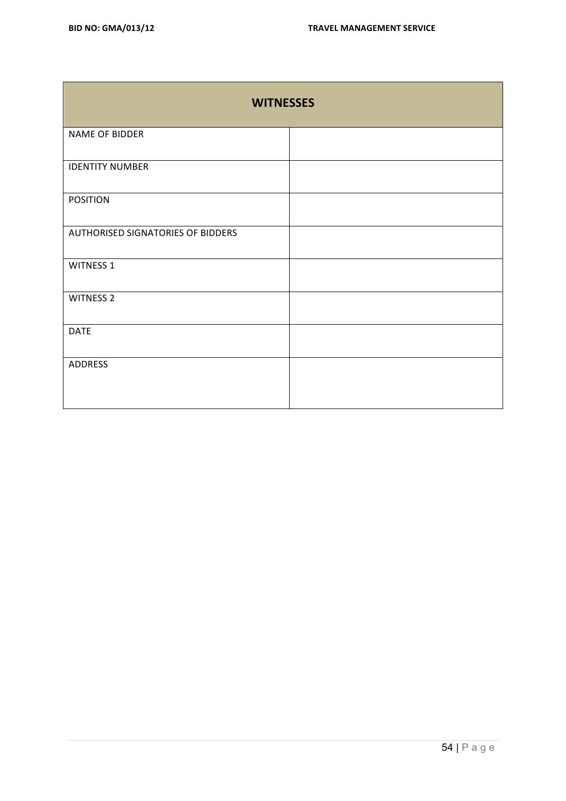| <b>WITNESSES</b>                  |  |  |  |  |
|-----------------------------------|--|--|--|--|
| <b>NAME OF BIDDER</b>             |  |  |  |  |
| <b>IDENTITY NUMBER</b>            |  |  |  |  |
| <b>POSITION</b>                   |  |  |  |  |
| AUTHORISED SIGNATORIES OF BIDDERS |  |  |  |  |
| <b>WITNESS 1</b>                  |  |  |  |  |
| <b>WITNESS 2</b>                  |  |  |  |  |
| <b>DATE</b>                       |  |  |  |  |
| <b>ADDRESS</b>                    |  |  |  |  |
|                                   |  |  |  |  |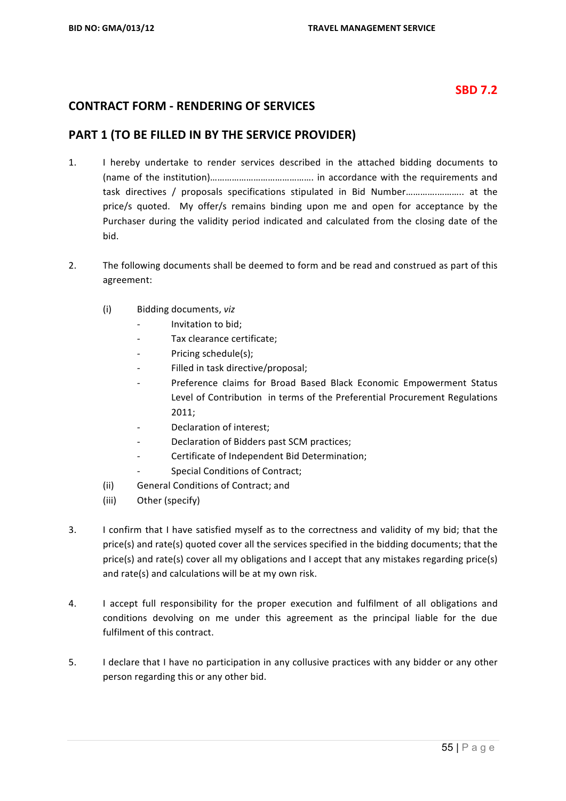## **SBD 7.2**

### **CONTRACT FORM - RENDERING OF SERVICES**

#### **PART 1 (TO BE FILLED IN BY THE SERVICE PROVIDER)**

- 1. I hereby undertake to render services described in the attached bidding documents to (name of the institution)………………………………………… in accordance with the requirements and task directives / proposals specifications stipulated in Bid Number.......................... at the price/s quoted. My offer/s remains binding upon me and open for acceptance by the Purchaser during the validity period indicated and calculated from the closing date of the bid.
- 2. The following documents shall be deemed to form and be read and construed as part of this agreement:
	- (i) Bidding documents, *viz*
		- *-* Invitation to bid;
		- Tax clearance certificate;
		- Pricing schedule(s):
		- Filled in task directive/proposal;
		- Preference claims for Broad Based Black Economic Empowerment Status Level of Contribution in terms of the Preferential Procurement Regulations 2011;
		- Declaration of interest:
		- Declaration of Bidders past SCM practices;
		- Certificate of Independent Bid Determination;
		- **Special Conditions of Contract;**
	- (ii) General Conditions of Contract; and
	- (iii) Other (specify)
- 3. I confirm that I have satisfied myself as to the correctness and validity of my bid; that the price(s) and rate(s) quoted cover all the services specified in the bidding documents; that the price(s) and rate(s) cover all my obligations and I accept that any mistakes regarding price(s) and rate(s) and calculations will be at my own risk.
- 4. I accept full responsibility for the proper execution and fulfilment of all obligations and conditions devolving on me under this agreement as the principal liable for the due fulfilment of this contract.
- 5. I declare that I have no participation in any collusive practices with any bidder or any other person regarding this or any other bid.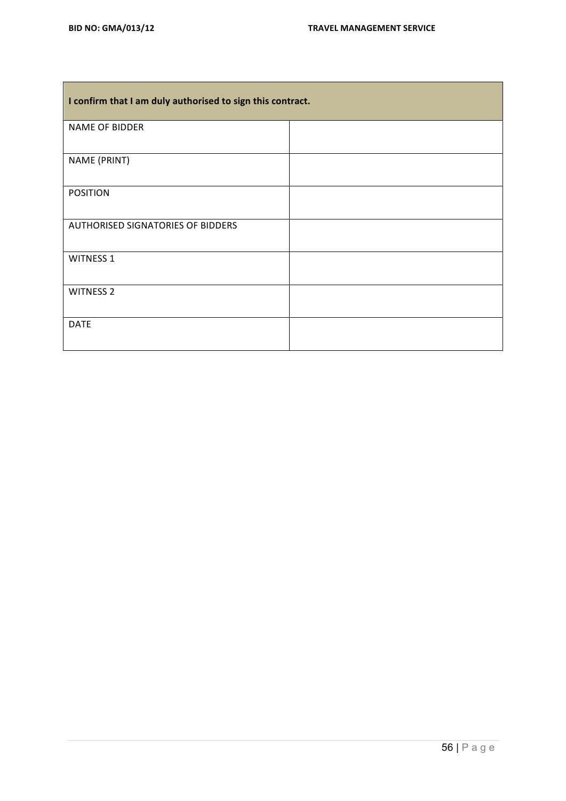| I confirm that I am duly authorised to sign this contract. |  |  |  |  |
|------------------------------------------------------------|--|--|--|--|
| <b>NAME OF BIDDER</b>                                      |  |  |  |  |
| NAME (PRINT)                                               |  |  |  |  |
| <b>POSITION</b>                                            |  |  |  |  |
| AUTHORISED SIGNATORIES OF BIDDERS                          |  |  |  |  |
| <b>WITNESS 1</b>                                           |  |  |  |  |
| <b>WITNESS 2</b>                                           |  |  |  |  |
| <b>DATE</b>                                                |  |  |  |  |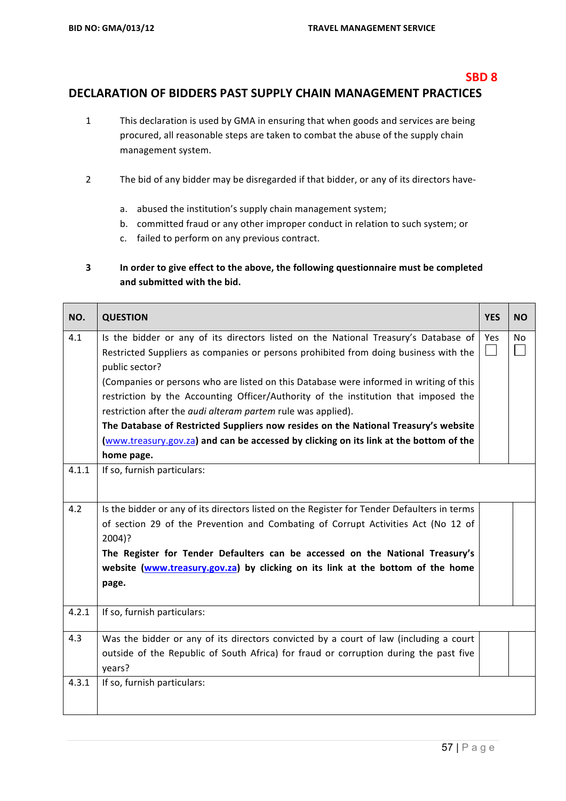#### **SBD 8**

### DECLARATION OF BIDDERS PAST SUPPLY CHAIN MANAGEMENT PRACTICES

- 1 This declaration is used by GMA in ensuring that when goods and services are being procured, all reasonable steps are taken to combat the abuse of the supply chain management system.
- 2 The bid of any bidder may be disregarded if that bidder, or any of its directors have
	- a. abused the institution's supply chain management system;
	- b. committed fraud or any other improper conduct in relation to such system; or
	- c. failed to perform on any previous contract.

#### **3** In order to give effect to the above, the following questionnaire must be completed and submitted with the bid.

| NO.   | <b>QUESTION</b>                                                                                                                                                                                                                                                                                                                                                                                                                                                                                                                                                                                                                                      | <b>YES</b> | <b>NO</b>      |
|-------|------------------------------------------------------------------------------------------------------------------------------------------------------------------------------------------------------------------------------------------------------------------------------------------------------------------------------------------------------------------------------------------------------------------------------------------------------------------------------------------------------------------------------------------------------------------------------------------------------------------------------------------------------|------------|----------------|
| 4.1   | Is the bidder or any of its directors listed on the National Treasury's Database of<br>Restricted Suppliers as companies or persons prohibited from doing business with the<br>public sector?<br>(Companies or persons who are listed on this Database were informed in writing of this<br>restriction by the Accounting Officer/Authority of the institution that imposed the<br>restriction after the <i>audi alteram partem</i> rule was applied).<br>The Database of Restricted Suppliers now resides on the National Treasury's website<br>(www.treasury.gov.za) and can be accessed by clicking on its link at the bottom of the<br>home page. | Yes        | N <sub>o</sub> |
| 4.1.1 | If so, furnish particulars:                                                                                                                                                                                                                                                                                                                                                                                                                                                                                                                                                                                                                          |            |                |
| 4.2   | Is the bidder or any of its directors listed on the Register for Tender Defaulters in terms<br>of section 29 of the Prevention and Combating of Corrupt Activities Act (No 12 of<br>2004)?<br>The Register for Tender Defaulters can be accessed on the National Treasury's<br>website (www.treasury.gov.za) by clicking on its link at the bottom of the home<br>page.                                                                                                                                                                                                                                                                              |            |                |
| 4.2.1 | If so, furnish particulars:                                                                                                                                                                                                                                                                                                                                                                                                                                                                                                                                                                                                                          |            |                |
| 4.3   | Was the bidder or any of its directors convicted by a court of law (including a court<br>outside of the Republic of South Africa) for fraud or corruption during the past five<br>years?                                                                                                                                                                                                                                                                                                                                                                                                                                                             |            |                |
| 4.3.1 | If so, furnish particulars:                                                                                                                                                                                                                                                                                                                                                                                                                                                                                                                                                                                                                          |            |                |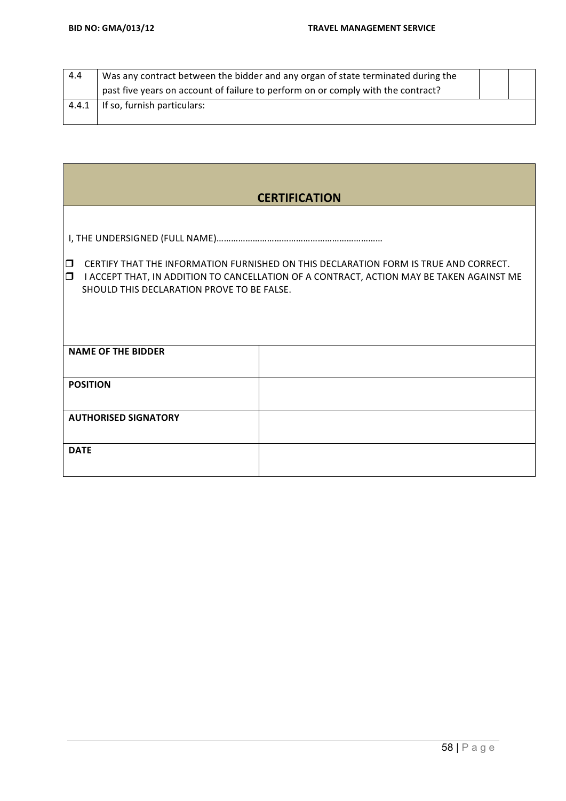| 4.4   | Was any contract between the bidder and any organ of state terminated during the |  |
|-------|----------------------------------------------------------------------------------|--|
|       | past five years on account of failure to perform on or comply with the contract? |  |
| 4.4.1 | If so, furnish particulars:                                                      |  |
|       |                                                                                  |  |

**在这里的一个人,我们也不能在这里的时候,我们也不能在这里的时候,我们也不能在这里的时候,我们**也不能在这里的时候,我们也不能在这里的时候,我们也不能在这里的时候,

| <b>CERTIFICATION</b>                                                                                                                                                                                                                               |  |  |  |  |
|----------------------------------------------------------------------------------------------------------------------------------------------------------------------------------------------------------------------------------------------------|--|--|--|--|
|                                                                                                                                                                                                                                                    |  |  |  |  |
| CERTIFY THAT THE INFORMATION FURNISHED ON THIS DECLARATION FORM IS TRUE AND CORRECT.<br>$\Box$<br>$\Box$<br>I ACCEPT THAT, IN ADDITION TO CANCELLATION OF A CONTRACT, ACTION MAY BE TAKEN AGAINST ME<br>SHOULD THIS DECLARATION PROVE TO BE FALSE. |  |  |  |  |
| <b>NAME OF THE BIDDER</b>                                                                                                                                                                                                                          |  |  |  |  |
| <b>POSITION</b>                                                                                                                                                                                                                                    |  |  |  |  |
| <b>AUTHORISED SIGNATORY</b>                                                                                                                                                                                                                        |  |  |  |  |
| <b>DATE</b>                                                                                                                                                                                                                                        |  |  |  |  |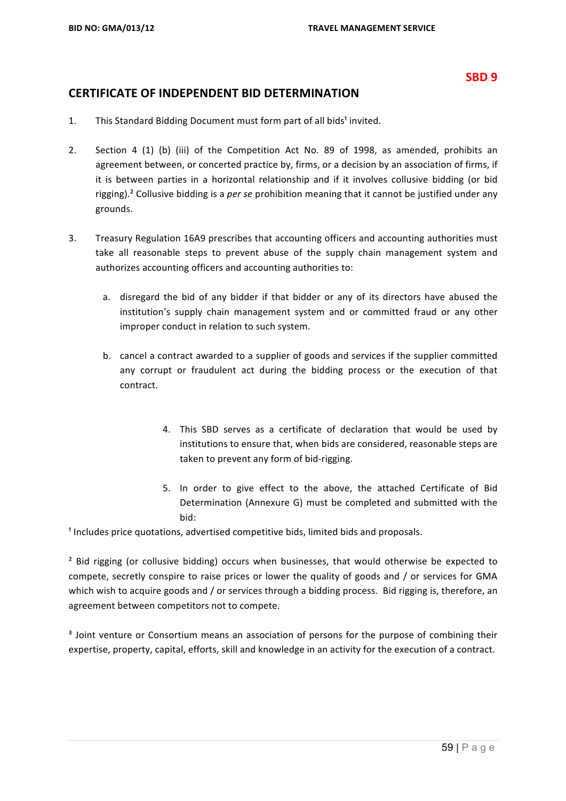#### **CERTIFICATE OF INDEPENDENT BID DETERMINATION**

- 1. This Standard Bidding Document must form part of all bids<sup>1</sup> invited.
- 2. Section 4 (1) (b) (iii) of the Competition Act No. 89 of 1998, as amended, prohibits an agreement between, or concerted practice by, firms, or a decision by an association of firms, if it is between parties in a horizontal relationship and if it involves collusive bidding (or bid rigging).<sup>2</sup> Collusive bidding is a *per se* prohibition meaning that it cannot be justified under any grounds.
- 3. Treasury Regulation 16A9 prescribes that accounting officers and accounting authorities must take all reasonable steps to prevent abuse of the supply chain management system and authorizes accounting officers and accounting authorities to:
	- a. disregard the bid of any bidder if that bidder or any of its directors have abused the institution's supply chain management system and or committed fraud or any other improper conduct in relation to such system.
	- b. cancel a contract awarded to a supplier of goods and services if the supplier committed any corrupt or fraudulent act during the bidding process or the execution of that contract.
		- 4. This SBD serves as a certificate of declaration that would be used by institutions to ensure that, when bids are considered, reasonable steps are taken to prevent any form of bid-rigging.
		- 5. In order to give effect to the above, the attached Certificate of Bid Determination (Annexure G) must be completed and submitted with the bid:

 $<sup>1</sup>$  Includes price quotations, advertised competitive bids, limited bids and proposals.</sup>

<sup>2</sup> Bid rigging (or collusive bidding) occurs when businesses, that would otherwise be expected to compete, secretly conspire to raise prices or lower the quality of goods and / or services for GMA which wish to acquire goods and / or services through a bidding process. Bid rigging is, therefore, an agreement between competitors not to compete.

<sup>3</sup> Joint venture or Consortium means an association of persons for the purpose of combining their expertise, property, capital, efforts, skill and knowledge in an activity for the execution of a contract.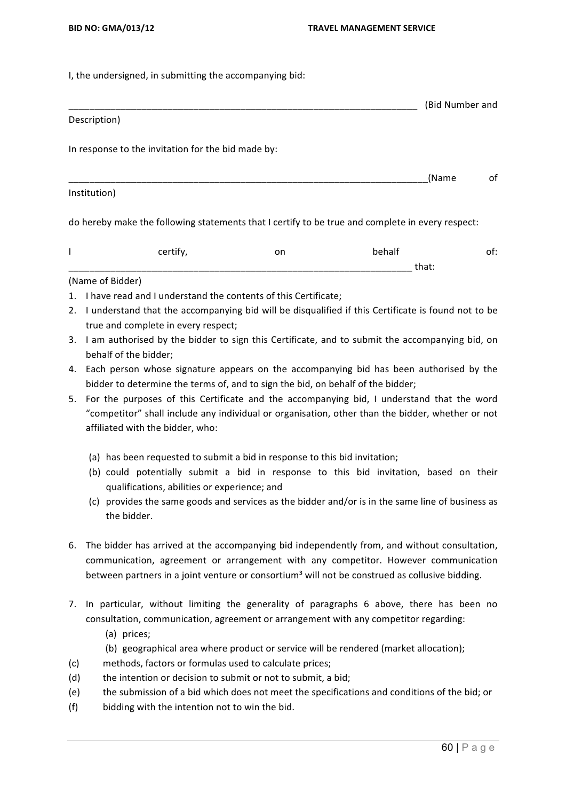I, the undersigned, in submitting the accompanying bid:

|                                                    | (Bid Number and |
|----------------------------------------------------|-----------------|
| Description)                                       |                 |
| In response to the invitation for the bid made by: |                 |

\_\_\_\_\_\_\_\_\_\_\_\_\_\_\_\_\_\_\_\_\_\_\_\_\_\_\_\_\_\_\_\_\_\_\_\_\_\_\_\_\_\_\_\_\_\_\_\_\_\_\_\_\_\_\_\_\_\_\_\_\_\_\_\_\_\_\_\_\_(Name of 

Institution)

do hereby make the following statements that I certify to be true and complete in every respect:

| $-2$<br> | on | .<br>. .<br>_____ |       | ЭĪ |
|----------|----|-------------------|-------|----|
|          |    | __                | uidu. |    |

#### (Name of Bidder)

- 1. I have read and I understand the contents of this Certificate;
- 2. I understand that the accompanying bid will be disqualified if this Certificate is found not to be true and complete in every respect;
- 3. I am authorised by the bidder to sign this Certificate, and to submit the accompanying bid, on behalf of the bidder;
- 4. Each person whose signature appears on the accompanying bid has been authorised by the bidder to determine the terms of, and to sign the bid, on behalf of the bidder;
- 5. For the purposes of this Certificate and the accompanying bid, I understand that the word "competitor" shall include any individual or organisation, other than the bidder, whether or not affiliated with the bidder, who:
	- (a) has been requested to submit a bid in response to this bid invitation;
	- (b) could potentially submit a bid in response to this bid invitation, based on their qualifications, abilities or experience; and
	- (c) provides the same goods and services as the bidder and/or is in the same line of business as the bidder.
- 6. The bidder has arrived at the accompanying bid independently from, and without consultation, communication, agreement or arrangement with any competitor. However communication between partners in a joint venture or consortium<sup>3</sup> will not be construed as collusive bidding.
- 7. In particular, without limiting the generality of paragraphs 6 above, there has been no consultation, communication, agreement or arrangement with any competitor regarding:
	- (a) prices;
	- (b) geographical area where product or service will be rendered (market allocation);
- (c) methods, factors or formulas used to calculate prices;
- $(d)$  the intention or decision to submit or not to submit, a bid;
- (e) the submission of a bid which does not meet the specifications and conditions of the bid; or
- $(f)$  bidding with the intention not to win the bid.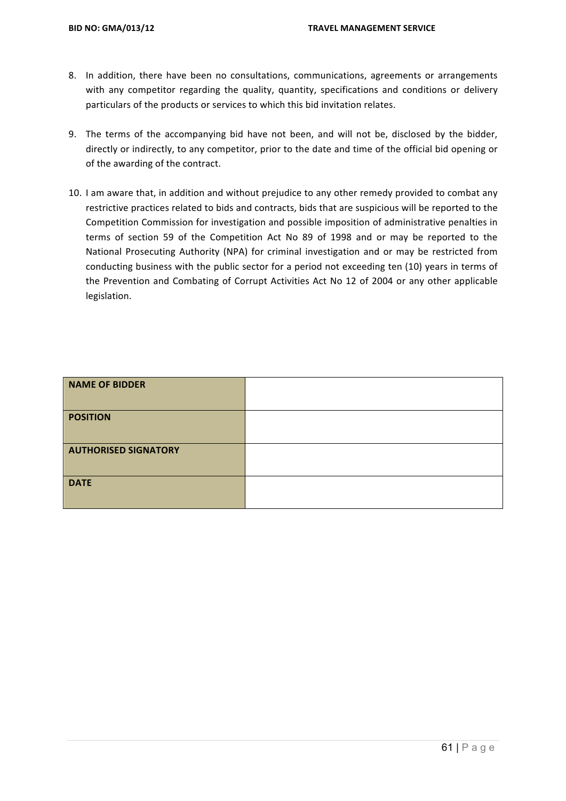- 8. In addition, there have been no consultations, communications, agreements or arrangements with any competitor regarding the quality, quantity, specifications and conditions or delivery particulars of the products or services to which this bid invitation relates.
- 9. The terms of the accompanying bid have not been, and will not be, disclosed by the bidder, directly or indirectly, to any competitor, prior to the date and time of the official bid opening or of the awarding of the contract.
- 10. I am aware that, in addition and without prejudice to any other remedy provided to combat any restrictive practices related to bids and contracts, bids that are suspicious will be reported to the Competition Commission for investigation and possible imposition of administrative penalties in terms of section 59 of the Competition Act No 89 of 1998 and or may be reported to the National Prosecuting Authority (NPA) for criminal investigation and or may be restricted from conducting business with the public sector for a period not exceeding ten (10) years in terms of the Prevention and Combating of Corrupt Activities Act No 12 of 2004 or any other applicable legislation.

| <b>NAME OF BIDDER</b>       |  |
|-----------------------------|--|
| <b>POSITION</b>             |  |
| <b>AUTHORISED SIGNATORY</b> |  |
| <b>DATE</b>                 |  |